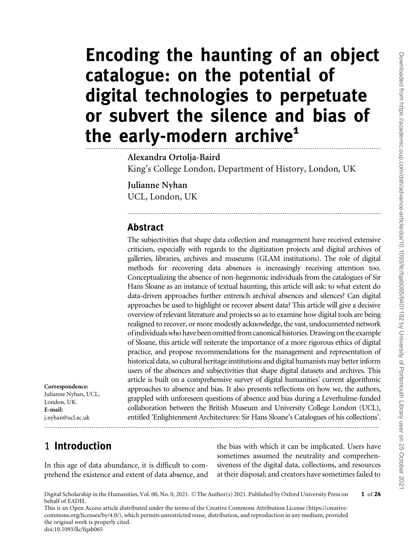# Encoding the haunting of an object catalogue: on the potential of digital technologies to perpetuate or subvert the silence and bias of the early-modern archive<sup>1</sup> ............................................................................................................................................................

#### Alexandra Ortolja-Baird

King's College London, Department of History, London, UK

......................................................................................................................................

Julianne Nyhan UCL, London, UK

#### Abstract

The subjectivities that shape data collection and management have received extensive criticism, especially with regards to the digitization projects and digital archives of galleries, libraries, archives and museums (GLAM institutions). The role of digital methods for recovering data absences is increasingly receiving attention too. Conceptualizing the absence of non-hegemonic individuals from the catalogues of Sir Hans Sloane as an instance of textual haunting, this article will ask: to what extent do data-driven approaches further entrench archival absences and silences? Can digital approaches be used to highlight or recover absent data? This article will give a decisive overview of relevant literature and projects so as to examine how digital tools are being realigned to recover, or more modestly acknowledge, the vast, undocumented network of individuals who have been omitted from canonical histories. Drawing on the example of Sloane, this article will reiterate the importance of a more rigorous ethics of digital practice, and propose recommendations for the management and representation of historical data, so cultural heritage institutions and digital humanists may better inform users of the absences and subjectivities that shape digital datasets and archives. This article is built on a comprehensive survey of digital humanities' current algorithmic approaches to absence and bias. It also presents reflections on how we, the authors, grappled with unforeseen questions of absence and bias during a Leverhulme-funded collaboration between the British Museum and University College London (UCL), entitled 'Enlightenment Architectures: Sir Hans Sloane's Catalogues of his collections'. .................................................................................................................................................................................

E-mail: j.nyhan@ucl.ac.uk

Correspondence: Julianne Nyhan, UCL, London, UK.

### 1 Introduction

In this age of data abundance, it is difficult to comprehend the existence and extent of data absence, and the bias with which it can be implicated. Users have sometimes assumed the neutrality and comprehensiveness of the digital data, collections, and resources at their disposal; and creators have sometimes failed to

This is an Open Access article distributed under the terms of the Creative Commons Attribution License (https://creativecommons.org/licenses/by/4.0/), which permits unrestricted reuse, distribution, and reproduction in any medium, provided the original work is properly cited. doi:10.1093/llc/fqab065

1 of 24

Digital Scholarship in the Humanities, Vol. 00, No. 0, 2021. © The Author(s) 2021. Published by Oxford University Press on behalf of EADH.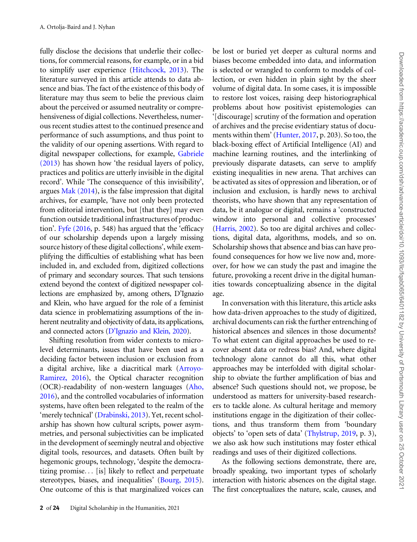fully disclose the decisions that underlie their collections, for commercial reasons, for example, or in a bid to simplify user experience [\(Hitchcock, 2013](#page-20-0)). The literature surveyed in this article attends to data absence and bias. The fact of the existence of this body of literature may thus seem to belie the previous claim about the perceived or assumed neutrality or comprehensiveness of digial collections. Nevertheless, numerous recent studies attest to the continued presence and performance of such assumptions, and thus point to the validity of our opening assertions. With regard to digital newspaper collections, for example, [Gabriele](#page-20-0) [\(2013\)](#page-20-0) has shown how 'the residual layers of policy, practices and politics are utterly invisible in the digital record'. While 'The consequence of this invisibility', argues [Mak \(2014\)](#page-21-0), is the false impression that digital archives, for example, 'have not only been protected from editorial intervention, but [that they] may even function outside traditional infrastructures of production'. [Fyfe \(2016](#page-20-0), p. 548) has argued that the 'efficacy of our scholarship depends upon a largely missing source history of these digital collections', while exemplifying the difficulties of establishing what has been included in, and excluded from, digitized collections of primary and secondary sources. That such tensions extend beyond the context of digitized newspaper collections are emphasized by, among others, D'Ignazio and Klein, who have argued for the role of a feminist data science in problematizing assumptions of the inherent neutrality and objectivity of data, its applications, and connected actors [\(D'Ignazio and Klein, 2020\)](#page-20-0).

Shifting resolution from wider contexts to microlevel determinants, issues that have been used as a deciding factor between inclusion or exclusion from a digital archive, like a diacritical mark [\(Arroyo-](#page-19-0)[Ramirez, 2016\)](#page-19-0), the Optical character recognition (OCR)-readability of non-western languages ([Aho,](#page-19-0) [2016](#page-19-0)), and the controlled vocabularies of information systems, have often been relegated to the realm of the 'merely technical' [\(Drabinski, 2013\)](#page-20-0). Yet, recent scholarship has shown how cultural scripts, power asymmetries, and personal subjectivities can be implicated in the development of seemingly neutral and objective digital tools, resources, and datasets. Often built by hegemonic groups, technology, 'despite the democratizing promise... [is] likely to reflect and perpetuate stereotypes, biases, and inequalities' ([Bourg, 2015\)](#page-19-0). One outcome of this is that marginalized voices can be lost or buried yet deeper as cultural norms and biases become embedded into data, and information is selected or wrangled to conform to models of collection, or even hidden in plain sight by the sheer volume of digital data. In some cases, it is impossible to restore lost voices, raising deep historiographical problems about how positivist epistemologies can '[discourage] scrutiny of the formation and operation of archives and the precise evidentiary status of documents within them' ([Hunter, 2017,](#page-20-0) p. 203). So too, the black-boxing effect of Artificial Intelligence (AI) and machine learning routines, and the interlinking of previously disparate datasets, can serve to amplify existing inequalities in new arena. That archives can be activated as sites of oppression and liberation, or of inclusion and exclusion, is hardly news to archival theorists, who have shown that any representation of data, be it analogue or digital, remains a 'constructed window into personal and collective processes' ([Harris, 2002\)](#page-20-0). So too are digital archives and collections, digital data, algorithms, models, and so on. Scholarship shows that absence and bias can have profound consequences for how we live now and, moreover, for how we can study the past and imagine the future, provoking a recent drive in the digital humanities towards conceptualizing absence in the digital age.

In conversation with this literature, this article asks how data-driven approaches to the study of digitized, archival documents can risk the further entrenching of historical absences and silences in those documents? To what extent can digital approaches be used to recover absent data or redress bias? And, where digital technology alone cannot do all this, what other approaches may be interfolded with digital scholarship to obviate the further amplification of bias and absence? Such questions should not, we propose, be understood as matters for university-based researchers to tackle alone. As cultural heritage and memory institutions engage in the digitization of their collections, and thus transform them from 'boundary objects' to 'open sets of data' [\(Thylstrup, 2019](#page-22-0), p. 3), we also ask how such institutions may foster ethical readings and uses of their digitized collections.

As the following sections demonstrate, there are, broadly speaking, two important types of scholarly interaction with historic absences on the digital stage. The first conceptualizes the nature, scale, causes, and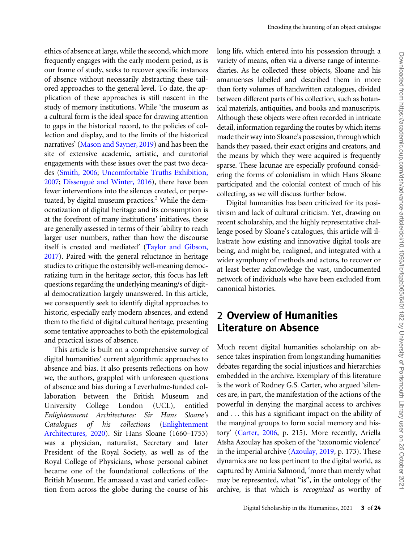ethics of absence at large, while the second, which more frequently engages with the early modern period, as is our frame of study, seeks to recover specific instances of absence without necessarily abstracting these tailored approaches to the general level. To date, the application of these approaches is still nascent in the study of memory institutions. While 'the museum as a cultural form is the ideal space for drawing attention to gaps in the historical record, to the policies of collection and display, and to the limits of the historical narratives' [\(Mason and Sayner, 2019\)](#page-21-0) and has been the site of extensive academic, artistic, and curatorial engagements with these issues over the past two decades ([Smith, 2006;](#page-21-0) [Uncomfortable Truths Exhibition,](#page-22-0) [2007;](#page-22-0) Dissengué and Winter, 2016), there have been fewer interventions into the silences created, or perpetuated, by digital museum practices. $<sup>2</sup>$  While the dem-</sup> ocratization of digital heritage and its consumption is at the forefront of many institutions' initiatives, these are generally assessed in terms of their 'ability to reach larger user numbers, rather than how the discourse itself is created and mediated' [\(Taylor and Gibson,](#page-22-0) [2017\)](#page-22-0). Paired with the general reluctance in heritage studies to critique the ostensibly well-meaning democratizing turn in the heritage sector, this focus has left questions regarding the underlying meaning/s of digital democratization largely unanswered. In this article, we consequently seek to identify digital approaches to historic, especially early modern absences, and extend them to the field of digital cultural heritage, presenting some tentative approaches to both the epistemological and practical issues of absence.

This article is built on a comprehensive survey of digital humanities' current algorithmic approaches to absence and bias. It also presents reflections on how we, the authors, grappled with unforeseen questions of absence and bias during a Leverhulme-funded collaboration between the British Museum and University College London (UCL), entitled Enlightenment Architectures: Sir Hans Sloane's Catalogues of his collections [\(Enlightenment](#page-22-0) [Architectures, 2020](#page-22-0)). Sir Hans Sloane (1660–1753) was a physician, naturalist, Secretary and later President of the Royal Society, as well as of the Royal College of Physicians, whose personal cabinet became one of the foundational collections of the British Museum. He amassed a vast and varied collection from across the globe during the course of his

long life, which entered into his possession through a variety of means, often via a diverse range of intermediaries. As he collected these objects, Sloane and his amanuenses labelled and described them in more than forty volumes of handwritten catalogues, divided between different parts of his collection, such as botanical materials, antiquities, and books and manuscripts. Although these objects were often recorded in intricate detail, information regarding the routes by which items made their way into Sloane's possession, through which hands they passed, their exact origins and creators, and the means by which they were acquired is frequently sparse. These lacunae are especially profound considering the forms of colonialism in which Hans Sloane participated and the colonial context of much of his collecting, as we will discuss further below.

Digital humanities has been criticized for its positivism and lack of cultural criticism. Yet, drawing on recent scholarship, and the highly representative challenge posed by Sloane's catalogues, this article will illustrate how existing and innovative digital tools are being, and might be, realigned, and integrated with a wider symphony of methods and actors, to recover or at least better acknowledge the vast, undocumented network of individuals who have been excluded from canonical histories.

# 2 Overview of Humanities Literature on Absence

Much recent digital humanities scholarship on absence takes inspiration from longstanding humanities debates regarding the social injustices and hierarchies embedded in the archive. Exemplary of this literature is the work of Rodney G.S. Carter, who argued 'silences are, in part, the manifestation of the actions of the powerful in denying the marginal access to archives and ... this has a significant impact on the ability of the marginal groups to form social memory and history' ([Carter, 2006](#page-19-0), p. 215). More recently, Ariella Aïsha Azoulay has spoken of the 'taxonomic violence' in the imperial archive ([Azoulay, 2019](#page-19-0), p. 173). These dynamics are no less pertinent to the digital world, as captured by Amiria Salmond, 'more than merely what may be represented, what "is", in the ontology of the archive, is that which is recognized as worthy of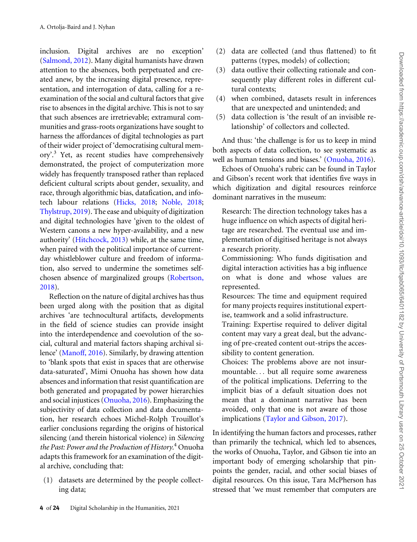inclusion. Digital archives are no exception' ([Salmond, 2012](#page-21-0)). Many digital humanists have drawn attention to the absences, both perpetuated and created anew, by the increasing digital presence, representation, and interrogation of data, calling for a reexamination of the social and cultural factors that give rise to absences in the digital archive. This is not to say that such absences are irretrievable; extramural communities and grass-roots organizations have sought to harness the affordances of digital technologies as part of their wider project of 'democratising cultural memory'.3 Yet, as recent studies have comprehensively demonstrated, the project of computerization more widely has frequently transposed rather than replaced deficient cultural scripts about gender, sexuality, and race, through algorithmic bias, datafication, and infotech labour relations ([Hicks, 2018;](#page-20-0) [Noble, 2018](#page-21-0); [Thylstrup, 2019\)](#page-22-0). The ease and ubiquity of digitization and digital technologies have 'given to the oldest of Western canons a new hyper-availability, and a new authority' ([Hitchcock, 2013](#page-20-0)) while, at the same time, when paired with the political importance of currentday whistleblower culture and freedom of information, also served to undermine the sometimes selfchosen absence of marginalized groups ([Robertson,](#page-21-0) [2018](#page-21-0)).

Reflection on the nature of digital archives has thus been urged along with the position that as digital archives 'are technocultural artifacts, developments in the field of science studies can provide insight into the interdependence and coevolution of the social, cultural and material factors shaping archival silence' [\(Manoff, 2016](#page-21-0)). Similarly, by drawing attention to 'blank spots that exist in spaces that are otherwise data-saturated', Mimi Onuoha has shown how data absences and information that resist quantification are both generated and propagated by power hierarchies and social injustices [\(Onuoha, 2016](#page-21-0)). Emphasizing the subjectivity of data collection and data documentation, her research echoes Michel-Rolph Trouillot's earlier conclusions regarding the origins of historical silencing (and therein historical violence) in Silencing the Past: Power and the Production of History.<sup>4</sup> Onuoha adapts this framework for an examination of the digital archive, concluding that:

(1) datasets are determined by the people collecting data;

- (2) data are collected (and thus flattened) to fit patterns (types, models) of collection;
- (3) data outlive their collecting rationale and consequently play different roles in different cultural contexts;
- (4) when combined, datasets result in inferences that are unexpected and unintended; and
- (5) data collection is 'the result of an invisible relationship' of collectors and collected.

And thus: 'the challenge is for us to keep in mind both aspects of data collection, to see systematic as well as human tensions and biases.' ([Onuoha, 2016](#page-21-0)).

Echoes of Onuoha's rubric can be found in Taylor and Gibson's recent work that identifies five ways in which digitization and digital resources reinforce dominant narratives in the museum:

Research: The direction technology takes has a huge influence on which aspects of digital heritage are researched. The eventual use and implementation of digitised heritage is not always a research priority.

Commissioning: Who funds digitisation and digital interaction activities has a big influence on what is done and whose values are represented.

Resources: The time and equipment required for many projects requires institutional expertise, teamwork and a solid infrastructure.

Training: Expertise required to deliver digital content may vary a great deal, but the advancing of pre-created content out-strips the accessibility to content generation.

Choices: The problems above are not insurmountable... but all require some awareness of the political implications. Deferring to the implicit bias of a default situation does not mean that a dominant narrative has been avoided, only that one is not aware of those implications [\(Taylor and Gibson, 2017\)](#page-22-0).

In identifying the human factors and processes, rather than primarily the technical, which led to absences, the works of Onuoha, Taylor, and Gibson tie into an important body of emerging scholarship that pinpoints the gender, racial, and other social biases of digital resources. On this issue, Tara McPherson has stressed that 'we must remember that computers are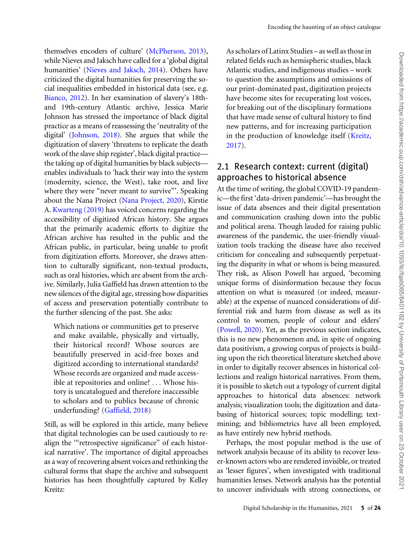themselves encoders of culture' [\(McPherson, 2013](#page-21-0)), As scholars of Latinx Studies – as well as those in related fields such as hemispheric studies, black Atlantic studies, and indigenous studies – work to question the assumptions and omissions of our print-dominated past, digitization projects have become sites for recuperating lost voices, for breaking out of the disciplinary formations that have made sense of cultural history to find new patterns, and for increasing participation in the production of knowledge itself ([Kreitz,](#page-20-0) [2017\)](#page-20-0).

#### 2.1 Research context: current (digital) approaches to historical absence

At the time of writing, the global COVID-19 pandemic—the first 'data-driven pandemic'—has brought the issue of data absences and their digital presentation and communication crashing down into the public and political arena. Though lauded for raising public awareness of the pandemic, the user-friendly visualization tools tracking the disease have also received criticism for concealing and subsequently perpetuating the disparity in what or whom is being measured. They risk, as Alison Powell has argued, 'becoming unique forms of disinformation because they focus attention on what is measured (or indeed, measurable) at the expense of nuanced considerations of differential risk and harm from disease as well as its control to women, people of colour and elders' ([Powell, 2020\)](#page-21-0). Yet, as the previous section indicates, this is no new phenomenon and, in spite of ongoing data positivism, a growing corpus of projects is building upon the rich theoretical literature sketched above in order to digitally recover absences in historical collections and realign historical narratives. From them, it is possible to sketch out a typology of current digital approaches to historical data absences: network analysis; visualization tools; the digitization and databasing of historical sources; topic modelling; textmining; and bibliometrics have all been employed, as have entirely new hybrid methods.

Perhaps, the most popular method is the use of network analysis because of its ability to recover lesser-known actors who are rendered invisible, or treated as 'lesser figures', when investigated with traditional humanities lenses. Network analysis has the potential to uncover individuals with strong connections, or

while Nieves and Jaksch have called for a 'global digital humanities' ([Nieves and Jaksch, 2014](#page-21-0)). Others have criticized the digital humanities for preserving the social inequalities embedded in historical data (see, e.g. [Bianco, 2012\)](#page-19-0). In her examination of slavery's 18thand 19th-century Atlantic archive, Jessica Marie Johnson has stressed the importance of black digital practice as a means of reassessing the 'neutrality of the digital' [\(Johnson, 2018\)](#page-20-0). She argues that while the digitization of slavery 'threatens to replicate the death work of the slave ship register', black digital practice the taking up of digital humanities by black subjects enables individuals to 'hack their way into the system (modernity, science, the West), take root, and live where they were "never meant to survive"'. Speaking about the Nana Project ([Nana Project, 2020\)](#page-22-0), Kirstie A. [Kwarteng \(2019\)](#page-20-0) has voiced concerns regarding the accessibility of digitized African history. She argues that the primarily academic efforts to digitize the African archive has resulted in the public and the African public, in particular, being unable to profit from digitization efforts. Moreover, she draws attention to culturally significant, non-textual products, such as oral histories, which are absent from the archive. Similarly, Julia Gaffield has drawn attention to the new silences of the digital age, stressing how disparities of access and preservation potentially contribute to the further silencing of the past. She asks:

Which nations or communities get to preserve and make available, physically and virtually, their historical record? Whose sources are beautifully preserved in acid-free boxes and digitized according to international standards? Whose records are organized and made accessible at repositories and online? ... Whose history is uncatalogued and therefore inaccessible to scholars and to publics because of chronic underfunding? [\(Gaffield, 2018](#page-20-0))

Still, as will be explored in this article, many believe that digital technologies can be used cautiously to realign the '"retrospective significance" of each historical narrative'. The importance of digital approaches as a way of recovering absent voices and rethinking the cultural forms that shape the archive and subsequent histories has been thoughtfully captured by Kelley Kreitz: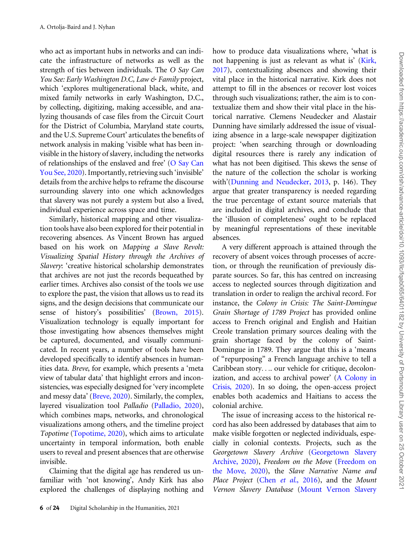who act as important hubs in networks and can indicate the infrastructure of networks as well as the strength of ties between individuals. The O Say Can You See: Early Washington D.C, Law & Family project, which 'explores multigenerational black, white, and mixed family networks in early Washington, D.C., by collecting, digitizing, making accessible, and analyzing thousands of case files from the Circuit Court for the District of Columbia, Maryland state courts, and the U.S. Supreme Court' articulates the benefits of network analysis in making 'visible what has been invisible in the history of slavery, including the networks of relationships of the enslaved and free' [\(O Say Can](#page-22-0) [You See, 2020](#page-22-0)). Importantly, retrieving such 'invisible' details from the archive helps to reframe the discourse surrounding slavery into one which acknowledges that slavery was not purely a system but also a lived, individual experience across space and time.

Similarly, historical mapping and other visualization tools have also been explored for their potential in recovering absences. As Vincent Brown has argued based on his work on Mapping a Slave Revolt: Visualizing Spatial History through the Archives of Slavery: 'creative historical scholarship demonstrates that archives are not just the records bequeathed by earlier times. Archives also consist of the tools we use to explore the past, the vision that allows us to read its signs, and the design decisions that communicate our sense of history's possibilities' [\(Brown, 2015\)](#page-19-0). Visualization technology is equally important for those investigating how absences themselves might be captured, documented, and visually communicated. In recent years, a number of tools have been developed specifically to identify absences in humanities data. Breve, for example, which presents a 'meta view of tabular data' that highlight errors and inconsistencies, was especially designed for 'very incomplete and messy data' ([Breve, 2020\)](#page-22-0). Similarly, the complex, layered visualization tool Palladio [\(Palladio, 2020\)](#page-22-0), which combines maps, networks, and chronological visualizations among others, and the timeline project Topotime [\(Topotime, 2020](#page-22-0)), which aims to articulate uncertainty in temporal information, both enable users to reveal and present absences that are otherwise invisible.

Claiming that the digital age has rendered us unfamiliar with 'not knowing', Andy Kirk has also explored the challenges of displaying nothing and how to produce data visualizations where, 'what is not happening is just as relevant as what is' ([Kirk,](#page-20-0) [2017\)](#page-20-0), contextualizing absences and showing their vital place in the historical narrative. Kirk does not attempt to fill in the absences or recover lost voices through such visualizations; rather, the aim is to contextualize them and show their vital place in the historical narrative. Clemens Neudecker and Alastair Dunning have similarly addressed the issue of visualizing absence in a large-scale newspaper digitization project: 'when searching through or downloading digital resources there is rarely any indication of what has not been digitised. This skews the sense of the nature of the collection the scholar is working with'([Dunning and Neudecker, 2013](#page-20-0), p. 146). They argue that greater transparency is needed regarding the true percentage of extant source materials that are included in digital archives, and conclude that the 'illusion of completeness' ought to be replaced by meaningful representations of these inevitable absences.

A very different approach is attained through the recovery of absent voices through processes of accretion, or through the reunification of previously disparate sources. So far, this has centred on increasing access to neglected sources through digitization and translation in order to realign the archival record. For instance, the Colony in Crisis: The Saint-Domingue Grain Shortage of 1789 Project has provided online access to French original and English and Haitian Creole translation primary sources dealing with the grain shortage faced by the colony of Saint-Domingue in 1789. They argue that this is a 'means of "repurposing" a French language archive to tell a Caribbean story.... our vehicle for critique, decolonization, and access to archival power' [\(A Colony in](#page-22-0) [Crisis, 2020](#page-22-0)). In so doing, the open-access project enables both academics and Haitians to access the colonial archive.

The issue of increasing access to the historical record has also been addressed by databases that aim to make visible forgotten or neglected individuals, especially in colonial contexts. Projects, such as the Georgetown Slavery Archive [\(Georgetown Slavery](#page-22-0) [Archive, 2020\)](#page-22-0), Freedom on the Move ([Freedom on](#page-22-0) [the Move, 2020\)](#page-22-0), the Slave Narrative Name and Place Project (Chen et al.[, 2016\)](#page-19-0), and the Mount Vernon Slavery Database [\(Mount Vernon Slavery](#page-22-0)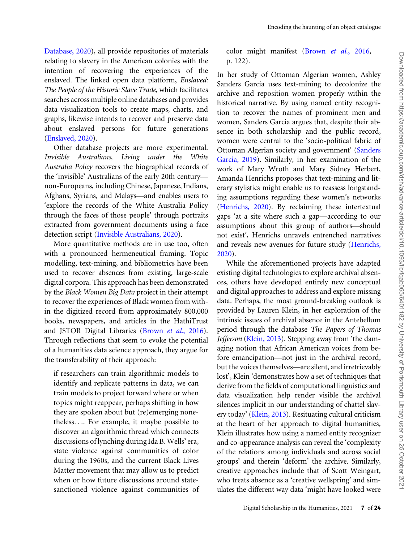[Database, 2020\)](#page-22-0), all provide repositories of materials relating to slavery in the American colonies with the intention of recovering the experiences of the enslaved. The linked open data platform, Enslaved: The People of the Historic Slave Trade, which facilitates searches across multiple online databases and provides data visualization tools to create maps, charts, and graphs, likewise intends to recover and preserve data about enslaved persons for future generations ([Enslaved, 2020](#page-22-0)).

Other database projects are more experimental. Invisible Australians, Living under the White Australia Policy recovers the biographical records of the 'invisible' Australians of the early 20th century non-Europeans, including Chinese, Japanese, Indians, Afghans, Syrians, and Malays—and enables users to 'explore the records of the White Australia Policy through the faces of those people' through portraits extracted from government documents using a face detection script ([Invisible Australians, 2020\)](#page-22-0).

More quantitative methods are in use too, often with a pronounced hermeneutical framing. Topic modelling, text-mining, and bibliometrics have been used to recover absences from existing, large-scale digital corpora. This approach has been demonstrated by the Black Women Big Data project in their attempt to recover the experiences of Black women from within the digitized record from approximately 800,000 books, newspapers, and articles in the HathiTrust and JSTOR Digital Libraries [\(Brown](#page-19-0) et al., 2016). Through reflections that seem to evoke the potential of a humanities data science approach, they argue for the transferability of their approach:

if researchers can train algorithmic models to identify and replicate patterns in data, we can train models to project forward where or when topics might reappear, perhaps shifting in how they are spoken about but (re)emerging nonetheless.... For example, it maybe possible to discover an algorithmic thread which connects discussions of lynching during Ida B. Wells' era, state violence against communities of color during the 1960s, and the current Black Lives Matter movement that may allow us to predict when or how future discussions around statesanctioned violence against communities of color might manifest (Brown et al.[, 2016,](#page-19-0) p. 122).

In her study of Ottoman Algerian women, Ashley Sanders Garcia uses text-mining to decolonize the archive and reposition women properly within the historical narrative. By using named entity recognition to recover the names of prominent men and women, Sanders Garcia argues that, despite their absence in both scholarship and the public record, women were central to the 'socio-political fabric of Ottoman Algerian society and government' ([Sanders](#page-21-0) [Garcia, 2019\)](#page-21-0). Similarly, in her examination of the work of Mary Wroth and Mary Sidney Herbert, Amanda Henrichs proposes that text-mining and literary stylistics might enable us to reassess longstanding assumptions regarding these women's networks ([Henrichs, 2020\)](#page-20-0). By reclaiming these intertextual gaps 'at a site where such a gap—according to our assumptions about this group of authors—should not exist', Henrichs unravels entrenched narratives and reveals new avenues for future study [\(Henrichs,](#page-20-0) [2020\)](#page-20-0).

While the aforementioned projects have adapted existing digital technologies to explore archival absences, others have developed entirely new conceptual and digital approaches to address and explore missing data. Perhaps, the most ground-breaking outlook is provided by Lauren Klein, in her exploration of the intrinsic issues of archival absence in the Antebellum period through the database The Papers of Thomas Jefferson ([Klein, 2013](#page-20-0)). Stepping away from 'the damaging notion that African American voices from before emancipation—not just in the archival record, but the voices themselves—are silent, and irretrievably lost', Klein 'demonstrates how a set of techniques that derive from the fields of computational linguistics and data visualization help render visible the archival silences implicit in our understanding of chattel slavery today' [\(Klein, 2013\)](#page-20-0). Resituating cultural criticism at the heart of her approach to digital humanities, Klein illustrates how using a named entity recognizer and co-appearance analysis can reveal the 'complexity of the relations among individuals and across social groups' and therein 'deform' the archive. Similarly, creative approaches include that of Scott Weingart, who treats absence as a 'creative wellspring' and simulates the different way data 'might have looked were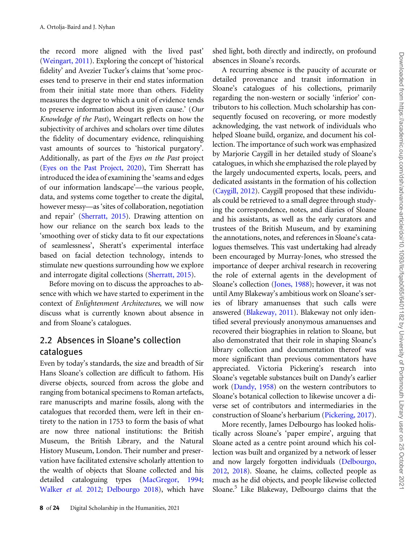the record more aligned with the lived past' ([Weingart, 2011](#page-22-0)). Exploring the concept of 'historical fidelity' and Avezier Tucker's claims that 'some processes tend to preserve in their end states information from their initial state more than others. Fidelity measures the degree to which a unit of evidence tends to preserve information about its given cause.' (Our Knowledge of the Past), Weingart reflects on how the subjectivity of archives and scholars over time dilutes the fidelity of documentary evidence, relinquishing vast amounts of sources to 'historical purgatory'. Additionally, as part of the Eyes on the Past project ([Eyes on the Past Project, 2020\)](#page-22-0), Tim Sherratt has introduced the idea of examining the 'seams and edges of our information landscape'—the various people, data, and systems come together to create the digital, however messy—as 'sites of collaboration, negotiation and repair' ([Sherratt, 2015\)](#page-21-0). Drawing attention on how our reliance on the search box leads to the 'smoothing over of sticky data to fit our expectations of seamlessness', Sheratt's experimental interface based on facial detection technology, intends to stimulate new questions surrounding how we explore and interrogate digital collections [\(Sherratt, 2015\)](#page-21-0).

Before moving on to discuss the approaches to absence with which we have started to experiment in the context of Enlightenment Architectures, we will now discuss what is currently known about absence in and from Sloane's catalogues.

#### 2.2 Absences in Sloane's collection catalogues

Even by today's standards, the size and breadth of Sir Hans Sloane's collection are difficult to fathom. His diverse objects, sourced from across the globe and ranging from botanical specimens to Roman artefacts, rare manuscripts and marine fossils, along with the catalogues that recorded them, were left in their entirety to the nation in 1753 to form the basis of what are now three national institutions: the British Museum, the British Library, and the Natural History Museum, London. Their number and preservation have facilitated extensive scholarly attention to the wealth of objects that Sloane collected and his detailed cataloguing types [\(MacGregor, 1994](#page-20-0); [Walker](#page-22-0) et al. 2012; [Delbourgo 2018\)](#page-20-0), which have shed light, both directly and indirectly, on profound absences in Sloane's records.

A recurring absence is the paucity of accurate or detailed provenance and transit information in Sloane's catalogues of his collections, primarily regarding the non-western or socially 'inferior' contributors to his collection. Much scholarship has consequently focused on recovering, or more modestly acknowledging, the vast network of individuals who helped Sloane build, organize, and document his collection. The importance of such work was emphasized by Marjorie Caygill in her detailed study of Sloane's catalogues, in which she emphazised the role played by the largely undocumented experts, locals, peers, and dedicated assistants in the formation of his collection ([Caygill, 2012\)](#page-19-0). Caygill proposed that these individuals could be retrieved to a small degree through studying the correspondence, notes, and diaries of Sloane and his assistants, as well as the early curators and trustees of the British Museum, and by examining the annotations, notes, and references in Sloane's catalogues themselves. This vast undertaking had already been encouraged by Murray-Jones, who stressed the importance of deeper archival research in recovering the role of external agents in the development of Sloane's collection [\(Jones, 1988](#page-20-0)); however, it was not until Amy Blakeway's ambitious work on Sloane's series of library amanuenses that such calls were answered ([Blakeway, 2011](#page-19-0)). Blakeway not only identified several previously anonymous amanuenses and recovered their biographies in relation to Sloane, but also demonstrated that their role in shaping Sloane's library collection and documentation thereof was more significant than previous commentators have appreciated. Victoria Pickering's research into Sloane's vegetable substances built on Dandy's earlier work ([Dandy, 1958\)](#page-20-0) on the western contributors to Sloane's botanical collection to likewise uncover a diverse set of contributors and intermediaries in the construction of Sloane's herbarium [\(Pickering, 2017\)](#page-21-0).

More recently, James Delbourgo has looked holistically across Sloane's 'paper empire', arguing that Sloane acted as a centre point around which his collection was built and organized by a network of lesser and now largely forgotten individuals [\(Delbourgo,](#page-20-0) [2012,](#page-20-0) [2018\)](#page-20-0). Sloane, he claims, collected people as much as he did objects, and people likewise collected Sloane.<sup>5</sup> Like Blakeway, Delbourgo claims that the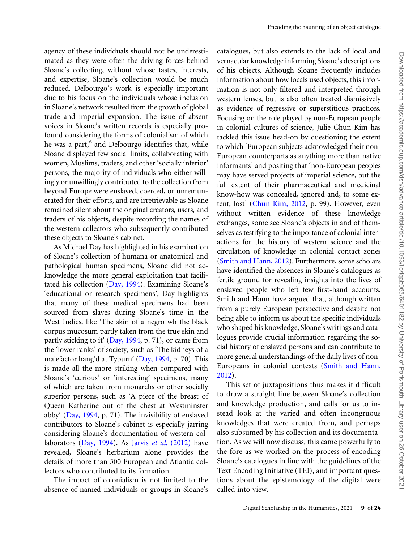agency of these individuals should not be underestimated as they were often the driving forces behind Sloane's collecting, without whose tastes, interests, and expertise, Sloane's collection would be much reduced. Delbourgo's work is especially important due to his focus on the individuals whose inclusion in Sloane's network resulted from the growth of global trade and imperial expansion. The issue of absent voices in Sloane's written records is especially profound considering the forms of colonialism of which he was a part,<sup>6</sup> and Delbourgo identifies that, while Sloane displayed few social limits, collaborating with women, Muslims, traders, and other 'socially inferior' persons, the majority of individuals who either willingly or unwillingly contributed to the collection from beyond Europe were enslaved, coerced, or unremunerated for their efforts, and are irretrievable as Sloane remained silent about the original creators, users, and traders of his objects, despite recording the names of the western collectors who subsequently contributed these objects to Sloane's cabinet.

As Michael Day has highlighted in his examination of Sloane's collection of humana or anatomical and pathological human specimens, Sloane did not acknowledge the more general exploitation that facilitated his collection ([Day, 1994](#page-20-0)). Examining Sloane's 'educational or research specimens', Day highlights that many of these medical specimens had been sourced from slaves during Sloane's time in the West Indies, like 'The skin of a negro wh the black corpus mucosum partly taken from the true skin and partly sticking to it' ([Day, 1994](#page-20-0), p. 71), or came from the 'lower ranks' of society, such as 'The kidneys of a malefactor hang'd at Tyburn' [\(Day, 1994,](#page-20-0) p. 70). This is made all the more striking when compared with Sloane's 'curious' or 'interesting' specimens, many of which are taken from monarchs or other socially superior persons, such as 'A piece of the breast of Queen Katherine out of the chest at Westminster abby' ([Day, 1994](#page-20-0), p. 71). The invisibility of enslaved contributors to Sloane's cabinet is especially jarring considering Sloane's documentation of western col-laborators [\(Day, 1994](#page-20-0)). As Jarvis et al.  $(2012)$  have revealed, Sloane's herbarium alone provides the details of more than 300 European and Atlantic collectors who contributed to its formation.

The impact of colonialism is not limited to the absence of named individuals or groups in Sloane's catalogues, but also extends to the lack of local and vernacular knowledge informing Sloane's descriptions of his objects. Although Sloane frequently includes information about how locals used objects, this information is not only filtered and interpreted through western lenses, but is also often treated dismissively as evidence of regressive or superstitious practices. Focusing on the role played by non-European people in colonial cultures of science, Julie Chun Kim has tackled this issue head-on by questioning the extent to which 'European subjects acknowledged their non-European counterparts as anything more than native informants' and positing that 'non-European peoples may have served projects of imperial science, but the full extent of their pharmaceutical and medicinal know-how was concealed, ignored and, to some extent, lost' [\(Chun Kim, 2012,](#page-19-0) p. 99). However, even without written evidence of these knowledge exchanges, some see Sloane's objects in and of themselves as testifying to the importance of colonial interactions for the history of western science and the circulation of knowledge in colonial contact zones ([Smith and Hann, 2012](#page-21-0)). Furthermore, some scholars have identified the absences in Sloane's catalogues as fertile ground for revealing insights into the lives of enslaved people who left few first-hand accounts. Smith and Hann have argued that, although written from a purely European perspective and despite not being able to inform us about the specific individuals who shaped his knowledge, Sloane's writings and catalogues provide crucial information regarding the social history of enslaved persons and can contribute to more general understandings of the daily lives of non-Europeans in colonial contexts [\(Smith and Hann,](#page-21-0) [2012\)](#page-21-0).

This set of juxtapositions thus makes it difficult to draw a straight line between Sloane's collection and knowledge production, and calls for us to instead look at the varied and often incongruous knowledges that were created from, and perhaps also subsumed by his collection and its documentation. As we will now discuss, this came powerfully to the fore as we worked on the process of encoding Sloane's catalogues in line with the guidelines of the Text Encoding Initiative (TEI), and important questions about the epistemology of the digital were called into view.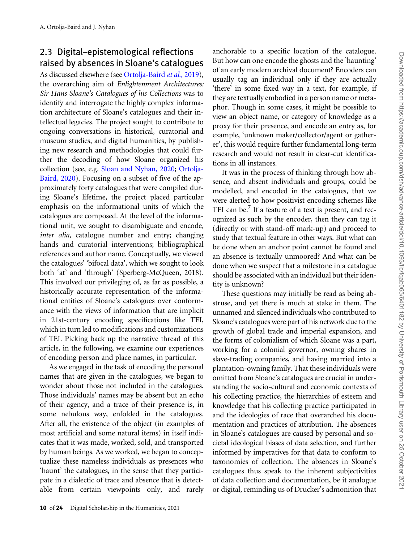#### 2.3 Digital–epistemological reflections raised by absences in Sloane's catalogues

As discussed elsewhere (see [Ortolja-Baird](#page-21-0) et al., 2019), the overarching aim of Enlightenment Architectures: Sir Hans Sloane's Catalogues of his Collections was to identify and interrogate the highly complex information architecture of Sloane's catalogues and their intellectual legacies. The project sought to contribute to ongoing conversations in historical, curatorial and museum studies, and digital humanities, by publishing new research and methodologies that could further the decoding of how Sloane organized his collection (see, e.g. [Sloan and Nyhan, 2020](#page-22-0); [Ortolja-](#page-21-0)[Baird, 2020\)](#page-21-0). Focusing on a subset of five of the approximately forty catalogues that were compiled during Sloane's lifetime, the project placed particular emphasis on the informational units of which the catalogues are composed. At the level of the informational unit, we sought to disambiguate and encode, inter alia, catalogue number and entry; changing hands and curatorial interventions; bibliographical references and author name. Conceptually, we viewed the catalogues' 'bifocal data', which we sought to look both 'at' and 'through' (Sperberg-McQueen, 2018). This involved our privileging of, as far as possible, a historically accurate representation of the informational entities of Sloane's catalogues over conformance with the views of information that are implicit in 21st-century encoding specifications like TEI, which in turn led to modifications and customizations of TEI. Picking back up the narrative thread of this article, in the following, we examine our experiences of encoding person and place names, in particular.

As we engaged in the task of encoding the personal names that are given in the catalogues, we began to wonder about those not included in the catalogues. Those individuals' names may be absent but an echo of their agency, and a trace of their presence is, in some nebulous way, enfolded in the catalogues. After all, the existence of the object (in examples of most artificial and some natural items) in itself indicates that it was made, worked, sold, and transported by human beings. As we worked, we began to conceptualize these nameless individuals as presences who 'haunt' the catalogues, in the sense that they participate in a dialectic of trace and absence that is detectable from certain viewpoints only, and rarely

anchorable to a specific location of the catalogue. But how can one encode the ghosts and the 'haunting' of an early modern archival document? Encoders can usually tag an individual only if they are actually 'there' in some fixed way in a text, for example, if they are textually embodied in a person name or metaphor. Though in some cases, it might be possible to view an object name, or category of knowledge as a proxy for their presence, and encode an entry as, for example, 'unknown maker/collector/agent or gatherer', this would require further fundamental long-term research and would not result in clear-cut identifications in all instances.

It was in the process of thinking through how absence, and absent individuals and groups, could be modelled, and encoded in the catalogues, that we were alerted to how positivist encoding schemes like TEI can be.<sup>7</sup> If a feature of a text is present, and recognized as such by the encoder, then they can tag it (directly or with stand-off mark-up) and proceed to study that textual feature in other ways. But what can be done when an anchor point cannot be found and an absence is textually unmoored? And what can be done when we suspect that a milestone in a catalogue should be associated with an individual but their identity is unknown?

These questions may initially be read as being abstruse, and yet there is much at stake in them. The unnamed and silenced individuals who contributed to Sloane's catalogues were part of his network due to the growth of global trade and imperial expansion, and the forms of colonialism of which Sloane was a part, working for a colonial governor, owning shares in slave-trading companies, and having married into a plantation-owning family. That these individuals were omitted from Sloane's catalogues are crucial in understanding the socio-cultural and economic contexts of his collecting practice, the hierarchies of esteem and knowledge that his collecting practice participated in and the ideologies of race that overarched his documentation and practices of attribution. The absences in Sloane's catalogues are caused by personal and societal ideological biases of data selection, and further informed by imperatives for that data to conform to taxonomies of collection. The absences in Sloane's catalogues thus speak to the inherent subjectivities of data collection and documentation, be it analogue or digital, reminding us of Drucker's admonition that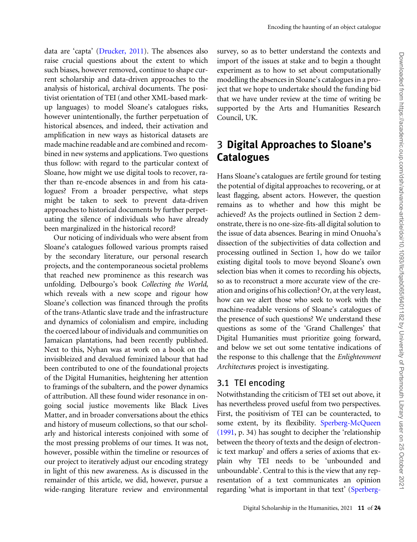data are 'capta' [\(Drucker, 2011\)](#page-20-0). The absences also raise crucial questions about the extent to which such biases, however removed, continue to shape current scholarship and data-driven approaches to the analysis of historical, archival documents. The positivist orientation of TEI (and other XML-based markup languages) to model Sloane's catalogues risks, however unintentionally, the further perpetuation of historical absences, and indeed, their activation and amplification in new ways as historical datasets are made machine readable and are combined and recombined in new systems and applications. Two questions thus follow: with regard to the particular context of Sloane, how might we use digital tools to recover, rather than re-encode absences in and from his catalogues? From a broader perspective, what steps might be taken to seek to prevent data-driven approaches to historical documents by further perpetuating the silence of individuals who have already been marginalized in the historical record?

Our noticing of individuals who were absent from Sloane's catalogues followed various prompts raised by the secondary literature, our personal research projects, and the contemporaneous societal problems that reached new prominence as this research was unfolding. Delbourgo's book Collecting the World, which reveals with a new scope and rigour how Sloane's collection was financed through the profits of the trans-Atlantic slave trade and the infrastructure and dynamics of colonialism and empire, including the coerced labour of individuals and communities on Jamaican plantations, had been recently published. Next to this, Nyhan was at work on a book on the invisibleized and devalued feminized labour that had been contributed to one of the foundational projects of the Digital Humanities, heightening her attention to framings of the subaltern, and the power dynamics of attribution. All these found wider resonance in ongoing social justice movements like Black Lives Matter, and in broader conversations about the ethics and history of museum collections, so that our scholarly and historical interests conjoined with some of the most pressing problems of our times. It was not, however, possible within the timeline or resources of our project to iteratively adjust our encoding strategy in light of this new awareness. As is discussed in the remainder of this article, we did, however, pursue a wide-ranging literature review and environmental

survey, so as to better understand the contexts and import of the issues at stake and to begin a thought experiment as to how to set about computationally modelling the absences in Sloane's catalogues in a project that we hope to undertake should the funding bid that we have under review at the time of writing be supported by the Arts and Humanities Research Council, UK.

# 3 Digital Approaches to Sloane's **Catalogues**

Hans Sloane's catalogues are fertile ground for testing the potential of digital approaches to recovering, or at least flagging, absent actors. However, the question remains as to whether and how this might be achieved? As the projects outlined in Section 2 demonstrate, there is no one-size-fits-all digital solution to the issue of data absences. Bearing in mind Onuoha's dissection of the subjectivities of data collection and processing outlined in Section 1, how do we tailor existing digital tools to move beyond Sloane's own selection bias when it comes to recording his objects, so as to reconstruct a more accurate view of the creation and origins of his collection? Or, at the very least, how can we alert those who seek to work with the machine-readable versions of Sloane's catalogues of the presence of such questions? We understand these questions as some of the 'Grand Challenges' that Digital Humanities must prioritize going forward, and below we set out some tentative indications of the response to this challenge that the Enlightenment Architectures project is investigating.

#### 3.1 TEI encoding

Notwithstanding the criticism of TEI set out above, it has nevertheless proved useful from two perspectives. First, the positivism of TEI can be counteracted, to some extent, by its flexibility. [Sperberg-McQueen](#page-22-0) [\(1991](#page-22-0), p. 34) has sought to decipher the 'relationship between the theory of texts and the design of electronic text markup' and offers a series of axioms that explain why TEI needs to be 'unbounded and unboundable'. Central to this is the view that any representation of a text communicates an opinion regarding 'what is important in that text' [\(Sperberg-](#page-22-0)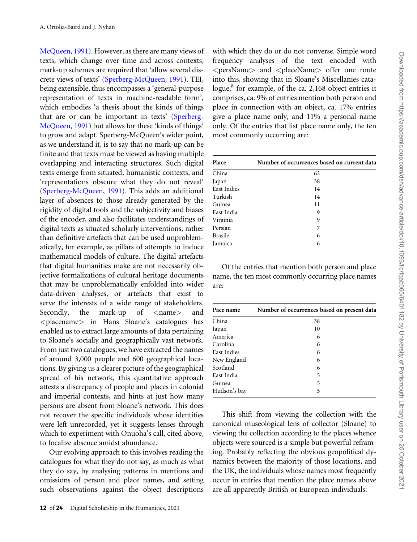[McQueen, 1991](#page-22-0)). However, as there are many views of texts, which change over time and across contexts, mark-up schemes are required that 'allow several discrete views of texts' ([Sperberg-McQueen, 1991](#page-22-0)). TEI, being extensible, thus encompasses a 'general-purpose representation of texts in machine-readable form', which embodies 'a thesis about the kinds of things that are or can be important in texts' [\(Sperberg-](#page-22-0)[McQueen, 1991\)](#page-22-0) but allows for these 'kinds of things' to grow and adapt. Sperberg-McQueen's wider point, as we understand it, is to say that no mark-up can be finite and that texts must be viewed as having multiple overlapping and interacting structures. Such digital texts emerge from situated, humanistic contexts, and 'representations obscure what they do not reveal' ([Sperberg-McQueen, 1991\)](#page-22-0). This adds an additional layer of absences to those already generated by the rigidity of digital tools and the subjectivity and biases of the encoder, and also facilitates understandings of digital texts as situated scholarly interventions, rather than definitive artefacts that can be used unproblematically, for example, as pillars of attempts to induce mathematical models of culture. The digital artefacts that digital humanities make are not necessarily objective formalizations of cultural heritage documents that may be unproblematically enfolded into wider data-driven analyses, or artefacts that exist to serve the interests of a wide range of stakeholders. Secondly, the mark-up of  $\langle$ name $\rangle$  and <placename> in Hans Sloane's catalogues has enabled us to extract large amounts of data pertaining to Sloane's socially and geographically vast network. From just two catalogues, we have extracted the names of around 3,000 people and 600 geographical locations. By giving us a clearer picture of the geographical spread of his network, this quantitative approach attests a discrepancy of people and places in colonial and imperial contexts, and hints at just how many persons are absent from Sloane's network. This does not recover the specific individuals whose identities were left unrecorded, yet it suggests lenses through which to experiment with Onuoha's call, cited above, to focalize absence amidst abundance.

Our evolving approach to this involves reading the catalogues for what they do not say, as much as what they do say, by analysing patterns in mentions and omissions of person and place names, and setting such observations against the object descriptions with which they do or do not converse. Simple word frequency analyses of the text encoded with <persName> and <placeName> offer one route into this, showing that in Sloane's Miscellanies catalogue, ${}^{8}$  for example, of the ca. 2,168 object entries it comprises, ca. 9% of entries mention both person and place in connection with an object, ca. 17% entries give a place name only, and 11% a personal name only. Of the entries that list place name only, the ten most commonly occurring are:

| Place              | Number of occurrences based on current data |
|--------------------|---------------------------------------------|
| China              | 62                                          |
| Japan              | 38                                          |
| <b>East Indies</b> | 14                                          |
| Turkish            | 14                                          |
| Guinea             | 11                                          |
| East India         | 9                                           |
| Virginia           | 9                                           |
| Persian            | 7                                           |
| <b>Brasile</b>     | 6                                           |
| Jamaica            | 6                                           |
|                    |                                             |

Of the entries that mention both person and place name, the ten most commonly occurring place names are:

| Pace name    | Number of occurrences based on present data |
|--------------|---------------------------------------------|
| China        | 38                                          |
| Japan        | 10                                          |
| America      | 6                                           |
| Carolina     | 6                                           |
| East Indies  | 6                                           |
| New England  | 6                                           |
| Scotland     | 6                                           |
| East India   | 5                                           |
| Guinea       | 5                                           |
| Hudson's bay | 5                                           |
|              |                                             |

This shift from viewing the collection with the canonical museological lens of collector (Sloane) to viewing the collection according to the places whence objects were sourced is a simple but powerful reframing. Probably reflecting the obvious geopolitical dynamics between the majority of those locations, and the UK, the individuals whose names most frequently occur in entries that mention the place names above are all apparently British or European individuals: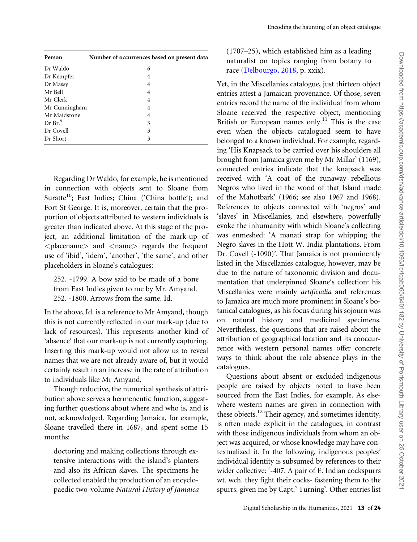| Person             | Number of occurrences based on present data |
|--------------------|---------------------------------------------|
| Dr Waldo           | 6                                           |
| Dr Kempfer         | 4                                           |
| Dr Massy           | 4                                           |
| Mr Bell            | 4                                           |
| Mr Clerk           | 4                                           |
| Mr Cunningham      | 4                                           |
| Mr Maidstone       | 4                                           |
| Dr Br <sup>9</sup> | 3                                           |
| Dr Covell          | 3                                           |
| Dr Short           | 3                                           |

Regarding Dr Waldo, for example, he is mentioned in connection with objects sent to Sloane from Suratte<sup>10</sup>; East Indies; China ('China bottle'); and Fort St George. It is, moreover, certain that the proportion of objects attributed to western individuals is greater than indicated above. At this stage of the project, an additional limitation of the mark-up of  $\langle$  placename $\rangle$  and  $\langle$  name $\rangle$  regards the frequent use of 'ibid', 'idem', 'another', 'the same', and other placeholders in Sloane's catalogues:

252. -1799. A bow said to be made of a bone from East Indies given to me by Mr. Amyand. 252. -1800. Arrows from the same. Id.

In the above, Id. is a reference to Mr Amyand, though this is not currently reflected in our mark-up (due to lack of resources). This represents another kind of 'absence' that our mark-up is not currently capturing. Inserting this mark-up would not allow us to reveal names that we are not already aware of, but it would certainly result in an increase in the rate of attribution to individuals like Mr Amyand.

Though reductive, the numerical synthesis of attribution above serves a hermeneutic function, suggesting further questions about where and who is, and is not, acknowledged. Regarding Jamaica, for example, Sloane travelled there in 1687, and spent some 15 months:

doctoring and making collections through extensive interactions with the island's planters and also its African slaves. The specimens he collected enabled the production of an encyclopaedic two-volume Natural History of Jamaica (1707–25), which established him as a leading naturalist on topics ranging from botany to race [\(Delbourgo, 2018,](#page-20-0) p. xxix).

Yet, in the Miscellanies catalogue, just thirteen object entries attest a Jamaican provenance. Of those, seven entries record the name of the individual from whom Sloane received the respective object, mentioning British or European names only.<sup>11</sup> This is the case even when the objects catalogued seem to have belonged to a known individual. For example, regarding 'His Knapsack to be carried over his shoulders all brought from Jamaica given me by Mr Millar' (1169), connected entries indicate that the knapsack was received with 'A coat of the runaway rebellious Negros who lived in the wood of that Island made of the Mahotbark' (1966; see also 1967 and 1968). References to objects connected with 'negros' and 'slaves' in Miscellanies, and elsewhere, powerfully evoke the inhumanity with which Sloane's collecting was enmeshed: 'A manati strap for whipping the Negro slaves in the Hott W. India plantations. From Dr. Covell (-1090)'. That Jamaica is not prominently listed in the Miscellanies catalogue, however, may be due to the nature of taxonomic division and documentation that underpinned Sloane's collection: his Miscellanies were mainly artificialia and references to Jamaica are much more prominent in Sloane's botanical catalogues, as his focus during his sojourn was on natural history and medicinal specimens. Nevertheless, the questions that are raised about the attribution of geographical location and its cooccurrence with western personal names offer concrete ways to think about the role absence plays in the catalogues.

Questions about absent or excluded indigenous people are raised by objects noted to have been sourced from the East Indies, for example. As elsewhere western names are given in connection with these objects.<sup>12</sup> Their agency, and sometimes identity, is often made explicit in the catalogues, in contrast with those indigenous individuals from whom an object was acquired, or whose knowledge may have contextualized it. In the following, indigenous peoples' individual identity is subsumed by references to their wider collective: '-407. A pair of E. Indian cockspurrs wt. wch. they fight their cocks- fastening them to the spurrs. given me by Capt.' Turning'. Other entries list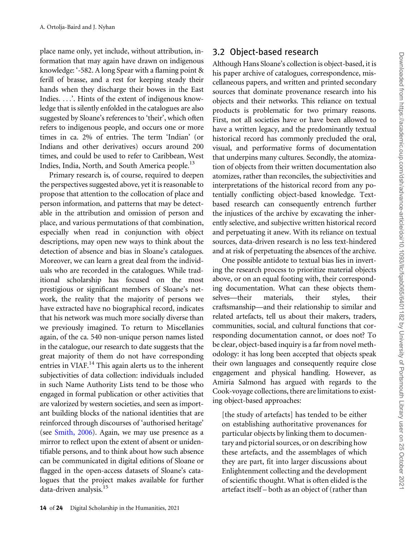place name only, yet include, without attribution, information that may again have drawn on indigenous knowledge: '-582. A long Spear with a flaming point & ferill of brasse, and a rest for keeping steady their hands when they discharge their bowes in the East Indies. ...'. Hints of the extent of indigenous knowledge that is silently enfolded in the catalogues are also suggested by Sloane's references to 'their', which often refers to indigenous people, and occurs one or more times in ca. 2% of entries. The term 'Indian' (or Indians and other derivatives) occurs around 200 times, and could be used to refer to Caribbean, West Indies, India, North, and South America people.<sup>13</sup>

Primary research is, of course, required to deepen the perspectives suggested above, yet it is reasonable to propose that attention to the collocation of place and person information, and patterns that may be detectable in the attribution and omission of person and place, and various permutations of that combination, especially when read in conjunction with object descriptions, may open new ways to think about the detection of absence and bias in Sloane's catalogues. Moreover, we can learn a great deal from the individuals who are recorded in the catalogues. While traditional scholarship has focused on the most prestigious or significant members of Sloane's network, the reality that the majority of persons we have extracted have no biographical record, indicates that his network was much more socially diverse than we previously imagined. To return to Miscellanies again, of the ca. 540 non-unique person names listed in the catalogue, our research to date suggests that the great majority of them do not have corresponding entries in VIAF.<sup>14</sup> This again alerts us to the inherent subjectivities of data collection: individuals included in such Name Authority Lists tend to be those who engaged in formal publication or other activities that are valorized by western societies, and seen as important building blocks of the national identities that are reinforced through discourses of 'authorised heritage' (see [Smith, 2006\)](#page-21-0). Again, we may use presence as a mirror to reflect upon the extent of absent or unidentifiable persons, and to think about how such absence can be communicated in digital editions of Sloane or flagged in the open-access datasets of Sloane's catalogues that the project makes available for further data-driven analysis.<sup>15</sup>

#### 3.2 Object-based research

Although Hans Sloane's collection is object-based, it is his paper archive of catalogues, correspondence, miscellaneous papers, and written and printed secondary sources that dominate provenance research into his objects and their networks. This reliance on textual products is problematic for two primary reasons. First, not all societies have or have been allowed to have a written legacy, and the predominantly textual historical record has commonly precluded the oral, visual, and performative forms of documentation that underpins many cultures. Secondly, the atomization of objects from their written documentation also atomizes, rather than reconciles, the subjectivities and interpretations of the historical record from any potentially conflicting object-based knowledge. Textbased research can consequently entrench further the injustices of the archive by excavating the inherently selective, and subjective written historical record and perpetuating it anew. With its reliance on textual sources, data-driven research is no less text-hindered and at risk of perpetuating the absences of the archive.

One possible antidote to textual bias lies in inverting the research process to prioritize material objects above, or on an equal footing with, their corresponding documentation. What can these objects themselves—their materials, their styles, their craftsmanship—and their relationship to similar and related artefacts, tell us about their makers, traders, communities, social, and cultural functions that corresponding documentation cannot, or does not? To be clear, object-based inquiry is a far from novel methodology: it has long been accepted that objects speak their own languages and consequently require close engagement and physical handling. However, as Amiria Salmond has argued with regards to the Cook-voyage collections, there are limitations to existing object-based approaches:

[the study of artefacts] has tended to be either on establishing authoritative provenances for particular objects by linking them to documentary and pictorial sources, or on describing how these artefacts, and the assemblages of which they are part, fit into larger discussions about Enlightenment collecting and the development of scientific thought. What is often elided is the artefact itself – both as an object of (rather than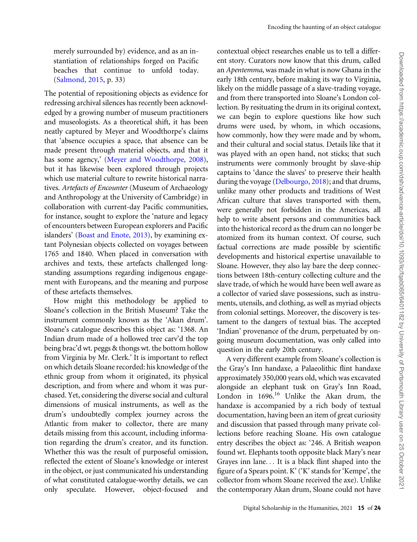merely surrounded by) evidence, and as an instantiation of relationships forged on Pacific beaches that continue to unfold today. ([Salmond, 2015,](#page-21-0) p. 33)

The potential of repositioning objects as evidence for redressing archival silences has recently been acknowledged by a growing number of museum practitioners and museologists. As a theoretical shift, it has been neatly captured by Meyer and Woodthorpe's claims that 'absence occupies a space, that absence can be made present through material objects, and that it has some agency,' ([Meyer and Woodthorpe, 2008](#page-21-0)), but it has likewise been explored through projects which use material culture to rewrite historical narratives. Artefacts of Encounter (Museum of Archaeology and Anthropology at the University of Cambridge) in collaboration with current-day Pacific communities, for instance, sought to explore the 'nature and legacy of encounters between European explorers and Pacific islanders' [\(Boast and Enote, 2013\)](#page-19-0), by examining extant Polynesian objects collected on voyages between 1765 and 1840. When placed in conversation with archives and texts, these artefacts challenged longstanding assumptions regarding indigenous engagement with Europeans, and the meaning and purpose of these artefacts themselves.

How might this methodology be applied to Sloane's collection in the British Museum? Take the instrument commonly known as the 'Akan drum'. Sloane's catalogue describes this object as: '1368. An Indian drum made of a hollowed tree carv'd the top being brac'd wt. peggs & thongs wt. the bottom hollow from Virginia by Mr. Clerk.' It is important to reflect on which details Sloane recorded: his knowledge of the ethnic group from whom it originated, its physical description, and from where and whom it was purchased. Yet, considering the diverse social and cultural dimensions of musical instruments, as well as the drum's undoubtedly complex journey across the Atlantic from maker to collector, there are many details missing from this account, including information regarding the drum's creator, and its function. Whether this was the result of purposeful omission, reflected the extent of Sloane's knowledge or interest in the object, or just communicated his understanding of what constituted catalogue-worthy details, we can only speculate. However, object-focused and

contextual object researches enable us to tell a different story. Curators now know that this drum, called an Apentemma, was made in what is now Ghana in the early 18th century, before making its way to Virginia, likely on the middle passage of a slave-trading voyage, and from there transported into Sloane's London collection. By resituating the drum in its original context, we can begin to explore questions like how such drums were used, by whom, in which occasions, how commonly, how they were made and by whom, and their cultural and social status. Details like that it was played with an open hand, not sticks; that such instruments were commonly brought by slave-ship captains to 'dance the slaves' to preserve their health during the voyage ([Delbourgo, 2018](#page-20-0)); and that drums, unlike many other products and traditions of West African culture that slaves transported with them, were generally not forbidden in the Americas, all help to write absent persons and communities back into the historical record as the drum can no longer be atomized from its human context. Of course, such factual corrections are made possible by scientific developments and historical expertise unavailable to Sloane. However, they also lay bare the deep connections between 18th-century collecting culture and the slave trade, of which he would have been well aware as a collector of varied slave possessions, such as instruments, utensils, and clothing, as well as myriad objects from colonial settings. Moreover, the discovery is testament to the dangers of textual bias. The accepted 'Indian' provenance of the drum, perpetuated by ongoing museum documentation, was only called into question in the early 20th century.

A very different example from Sloane's collection is the Gray's Inn handaxe, a Palaeolithic flint handaxe approximately 350,000 years old, which was excavated alongside an elephant tusk on Gray's Inn Road, London in  $1696$ <sup>16</sup> Unlike the Akan drum, the handaxe is accompanied by a rich body of textual documentation, having been an item of great curiosity and discussion that passed through many private collections before reaching Sloane. His own catalogue entry describes the object as: '246. A British weapon found wt. Elephants tooth opposite black Mary's near Grayes inn lane... It is a black flint shaped into the figure of a Spears point. K' ('K' stands for 'Kempe', the collector from whom Sloane received the axe). Unlike the contemporary Akan drum, Sloane could not have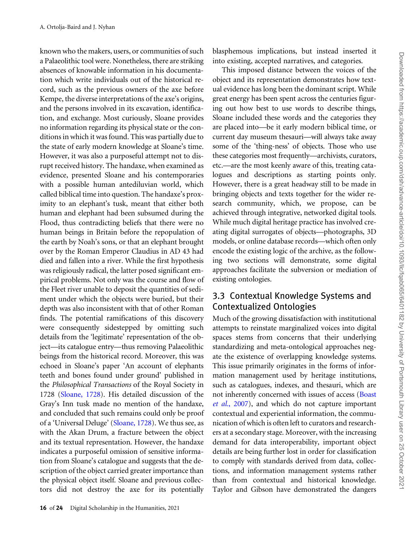known who the makers, users, or communities of such a Palaeolithic tool were. Nonetheless, there are striking absences of knowable information in his documentation which write individuals out of the historical record, such as the previous owners of the axe before Kempe, the diverse interpretations of the axe's origins, and the persons involved in its excavation, identification, and exchange. Most curiously, Sloane provides no information regarding its physical state or the conditions in which it was found. This was partially due to the state of early modern knowledge at Sloane's time. However, it was also a purposeful attempt not to disrupt received history. The handaxe, when examined as evidence, presented Sloane and his contemporaries with a possible human antediluvian world, which called biblical time into question. The handaxe's proximity to an elephant's tusk, meant that either both human and elephant had been subsumed during the Flood, thus contradicting beliefs that there were no human beings in Britain before the repopulation of the earth by Noah's sons, or that an elephant brought over by the Roman Emperor Claudius in AD 43 had died and fallen into a river. While the first hypothesis was religiously radical, the latter posed significant empirical problems. Not only was the course and flow of the Fleet river unable to deposit the quantities of sediment under which the objects were buried, but their depth was also inconsistent with that of other Roman finds. The potential ramifications of this discovery were consequently sidestepped by omitting such details from the 'legitimate' representation of the object—its catalogue entry—thus removing Palaeolithic beings from the historical record. Moreover, this was echoed in Sloane's paper 'An account of elephants teeth and bones found under ground' published in the Philosophical Transactions of the Royal Society in 1728 [\(Sloane, 1728](#page-22-0)). His detailed discussion of the Gray's Inn tusk made no mention of the handaxe, and concluded that such remains could only be proof of a 'Universal Deluge' ([Sloane, 1728\)](#page-22-0). We thus see, as with the Akan Drum, a fracture between the object and its textual representation. However, the handaxe indicates a purposeful omission of sensitive information from Sloane's catalogue and suggests that the description of the object carried greater importance than the physical object itself. Sloane and previous collectors did not destroy the axe for its potentially

blasphemous implications, but instead inserted it into existing, accepted narratives, and categories.

This imposed distance between the voices of the object and its representation demonstrates how textual evidence has long been the dominant script. While great energy has been spent across the centuries figuring out how best to use words to describe things, Sloane included these words and the categories they are placed into—be it early modern biblical time, or current day museum thesauri—will always take away some of the 'thing-ness' of objects. Those who use these categories most frequently—archivists, curators, etc.—are the most keenly aware of this, treating catalogues and descriptions as starting points only. However, there is a great headway still to be made in bringing objects and texts together for the wider research community, which, we propose, can be achieved through integrative, networked digital tools. While much digital heritage practice has involved creating digital surrogates of objects—photographs, 3D models, or online database records—which often only encode the existing logic of the archive, as the following two sections will demonstrate, some digital approaches facilitate the subversion or mediation of existing ontologies.

#### 3.3 Contextual Knowledge Systems and Contextualized Ontologies

Much of the growing dissatisfaction with institutional attempts to reinstate marginalized voices into digital spaces stems from concerns that their underlying standardizing and meta-ontological approaches negate the existence of overlapping knowledge systems. This issue primarily originates in the forms of information management used by heritage institutions, such as catalogues, indexes, and thesauri, which are not inherently concerned with issues of access [\(Boast](#page-19-0) et al.[, 2007](#page-19-0)), and which do not capture important contextual and experiential information, the communication of which is often left to curators and researchers at a secondary stage. Moreover, with the increasing demand for data interoperability, important object details are being further lost in order for classification to comply with standards derived from data, collections, and information management systems rather than from contextual and historical knowledge. Taylor and Gibson have demonstrated the dangers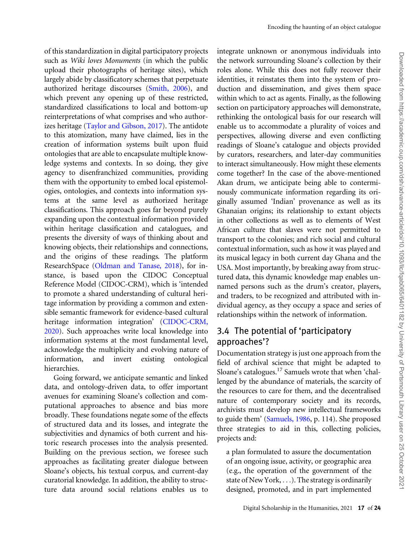Encoding the haunting of an object catalogue

of this standardization in digital participatory projects such as Wiki loves Monuments (in which the public upload their photographs of heritage sites), which largely abide by classificatory schemes that perpetuate authorized heritage discourses [\(Smith, 2006](#page-21-0)), and which prevent any opening up of these restricted, standardized classifications to local and bottom-up reinterpretations of what comprises and who authorizes heritage [\(Taylor and Gibson, 2017](#page-22-0)). The antidote to this atomization, many have claimed, lies in the creation of information systems built upon fluid ontologies that are able to encapsulate multiple knowledge systems and contexts. In so doing, they give agency to disenfranchized communities, providing them with the opportunity to embed local epistemologies, ontologies, and contexts into information systems at the same level as authorized heritage classifications. This approach goes far beyond purely expanding upon the contextual information provided within heritage classification and catalogues, and presents the diversity of ways of thinking about and knowing objects, their relationships and connections, and the origins of these readings. The platform ResearchSpace ([Oldman and Tanase, 2018](#page-21-0)), for instance, is based upon the CIDOC Conceptual Reference Model (CIDOC-CRM), which is 'intended to promote a shared understanding of cultural heritage information by providing a common and extensible semantic framework for evidence-based cultural heritage information integration' [\(CIDOC-CRM,](#page-22-0) [2020\)](#page-22-0). Such approaches write local knowledge into information systems at the most fundamental level, acknowledge the multiplicity and evolving nature of information, and invert existing ontological hierarchies.

Going forward, we anticipate semantic and linked data, and ontology-driven data, to offer important avenues for examining Sloane's collection and computational approaches to absence and bias more broadly. These foundations negate some of the effects of structured data and its losses, and integrate the subjectivities and dynamics of both current and historic research processes into the analysis presented. Building on the previous section, we foresee such approaches as facilitating greater dialogue between Sloane's objects, his textual corpus, and current-day curatorial knowledge. In addition, the ability to structure data around social relations enables us to

integrate unknown or anonymous individuals into the network surrounding Sloane's collection by their roles alone. While this does not fully recover their identities, it reinstates them into the system of production and dissemination, and gives them space within which to act as agents. Finally, as the following section on participatory approaches will demonstrate, rethinking the ontological basis for our research will enable us to accommodate a plurality of voices and perspectives, allowing diverse and even conflicting readings of Sloane's catalogue and objects provided by curators, researchers, and later-day communities to interact simultaneously. How might these elements come together? In the case of the above-mentioned Akan drum, we anticipate being able to conterminously communicate information regarding its originally assumed 'Indian' provenance as well as its Ghanaian origins; its relationship to extant objects in other collections as well as to elements of West African culture that slaves were not permitted to transport to the colonies; and rich social and cultural contextual information, such as how it was played and its musical legacy in both current day Ghana and the USA. Most importantly, by breaking away from structured data, this dynamic knowledge map enables unnamed persons such as the drum's creator, players, and traders, to be recognized and attributed with individual agency, as they occupy a space and series of relationships within the network of information.

#### 3.4 The potential of 'participatory approaches'?

Documentation strategy is just one approach from the field of archival science that might be adapted to Sloane's catalogues.17 Samuels wrote that when 'challenged by the abundance of materials, the scarcity of the resources to care for them, and the decentralised nature of contemporary society and its records, archivists must develop new intellectual frameworks to guide them' ([Samuels, 1986,](#page-21-0) p. 114). She proposed three strategies to aid in this, collecting policies, projects and:

a plan formulated to assure the documentation of an ongoing issue, activity, or geographic area (e.g., the operation of the government of the state of New York, ...). The strategy is ordinarily designed, promoted, and in part implemented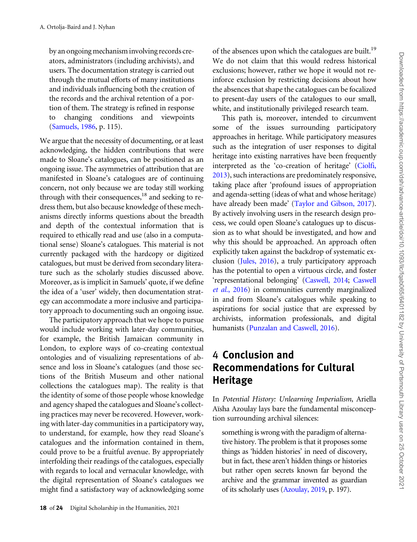by an ongoing mechanism involving records creators, administrators (including archivists), and users. The documentation strategy is carried out through the mutual efforts of many institutions and individuals influencing both the creation of the records and the archival retention of a portion of them. The strategy is refined in response to changing conditions and viewpoints ([Samuels, 1986,](#page-21-0) p. 115).

We argue that the necessity of documenting, or at least acknowledging, the hidden contributions that were made to Sloane's catalogues, can be positioned as an ongoing issue. The asymmetries of attribution that are manifested in Sloane's catalogues are of continuing concern, not only because we are today still working through with their consequences, $^{18}$  and seeking to redress them, but also because knowledge of these mechanisms directly informs questions about the breadth and depth of the contextual information that is required to ethically read and use (also in a computational sense) Sloane's catalogues. This material is not currently packaged with the hardcopy or digitized catalogues, but must be derived from secondary literature such as the scholarly studies discussed above. Moreover, as is implicit in Samuels' quote, if we define the idea of a 'user' widely, then documentation strategy can accommodate a more inclusive and participatory approach to documenting such an ongoing issue.

The participatory approach that we hope to pursue would include working with later-day communities, for example, the British Jamaican community in London, to explore ways of co-creating contextual ontologies and of visualizing representations of absence and loss in Sloane's catalogues (and those sections of the British Museum and other national collections the catalogues map). The reality is that the identity of some of those people whose knowledge and agency shaped the catalogues and Sloane's collecting practices may never be recovered. However, working with later-day communities in a participatory way, to understand, for example, how they read Sloane's catalogues and the information contained in them, could prove to be a fruitful avenue. By appropriately interfolding their readings of the catalogues, especially with regards to local and vernacular knowledge, with the digital representation of Sloane's catalogues we might find a satisfactory way of acknowledging some

of the absences upon which the catalogues are built.<sup>19</sup> We do not claim that this would redress historical exclusions; however, rather we hope it would not reinforce exclusion by restricting decisions about how the absences that shape the catalogues can be focalized to present-day users of the catalogues to our small, white, and institutionally privileged research team.

This path is, moreover, intended to circumvent some of the issues surrounding participatory approaches in heritage. While participatory measures such as the integration of user responses to digital heritage into existing narratives have been frequently interpreted as the 'co-creation of heritage' [\(Ciolfi,](#page-19-0) [2013\)](#page-19-0), such interactions are predominately responsive, taking place after 'profound issues of appropriation and agenda-setting (ideas of what and whose heritage) have already been made' [\(Taylor and Gibson, 2017\)](#page-22-0). By actively involving users in the research design process, we could open Sloane's catalogues up to discussion as to what should be investigated, and how and why this should be approached. An approach often explicitly taken against the backdrop of systematic exclusion ([Jules, 2016\)](#page-20-0), a truly participatory approach has the potential to open a virtuous circle, and foster 'representational belonging' [\(Caswell, 2014](#page-19-0); [Caswell](#page-19-0) et al.[, 2016](#page-19-0)) in communities currently marginalized in and from Sloane's catalogues while speaking to aspirations for social justice that are expressed by archivists, information professionals, and digital humanists [\(Punzalan and Caswell, 2016](#page-21-0)).

# 4 Conclusion and Recommendations for Cultural Heritage

In Potential History: Unlearning Imperialism, Ariella Aïsha Azoulay lays bare the fundamental misconception surrounding archival silences:

something is wrong with the paradigm of alternative history. The problem is that it proposes some things as 'hidden histories' in need of discovery, but in fact, these aren't hidden things or histories but rather open secrets known far beyond the archive and the grammar invented as guardian of its scholarly uses [\(Azoulay, 2019,](#page-19-0) p. 197).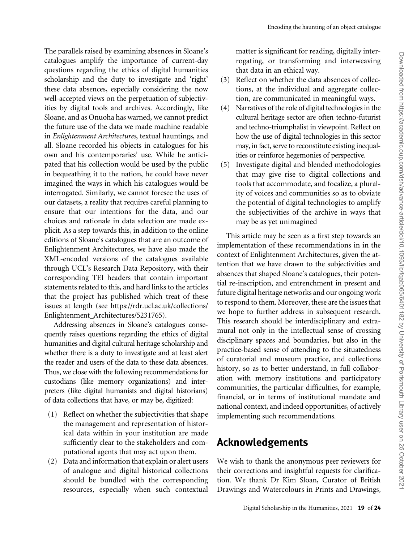The parallels raised by examining absences in Sloane's catalogues amplify the importance of current-day questions regarding the ethics of digital humanities scholarship and the duty to investigate and 'right' these data absences, especially considering the now well-accepted views on the perpetuation of subjectivities by digital tools and archives. Accordingly, like Sloane, and as Onuoha has warned, we cannot predict the future use of the data we made machine readable in Enlightenment Architectures, textual hauntings, and all. Sloane recorded his objects in catalogues for his own and his contemporaries' use. While he anticipated that his collection would be used by the public in bequeathing it to the nation, he could have never imagined the ways in which his catalogues would be interrogated. Similarly, we cannot foresee the uses of our datasets, a reality that requires careful planning to ensure that our intentions for the data, and our choices and rationale in data selection are made explicit. As a step towards this, in addition to the online editions of Sloane's catalogues that are an outcome of Enlightenment Architectures, we have also made the XML-encoded versions of the catalogues available through UCL's Research Data Repository, with their corresponding TEI headers that contain important statements related to this, and hard links to the articles that the project has published which treat of these issues at length (see [https://rdr.ucl.ac.uk/collections/](https://rdr.ucl.ac.uk/collections/Enlightenment_Architectures/5231765) [Enlightenment\\_Architectures/5231765](https://rdr.ucl.ac.uk/collections/Enlightenment_Architectures/5231765)).

Addressing absences in Sloane's catalogues consequently raises questions regarding the ethics of digital humanities and digital cultural heritage scholarship and whether there is a duty to investigate and at least alert the reader and users of the data to these data absences. Thus, we close with the following recommendations for custodians (like memory organizations) and interpreters (like digital humanists and digital historians) of data collections that have, or may be, digitized:

- (1) Reflect on whether the subjectivities that shape the management and representation of historical data within in your institution are made sufficiently clear to the stakeholders and computational agents that may act upon them.
- (2) Data and information that explain or alert users of analogue and digital historical collections should be bundled with the corresponding resources, especially when such contextual

matter is significant for reading, digitally interrogating, or transforming and interweaving that data in an ethical way.

- (3) Reflect on whether the data absences of collections, at the individual and aggregate collection, are communicated in meaningful ways.
- (4) Narratives of the role of digital technologies in the cultural heritage sector are often techno-futurist and techno-triumphalist in viewpoint. Reflect on how the use of digital technologies in this sector may, in fact, serve to reconstitute existing inequalities or reinforce hegemonies of perspective.
- (5) Investigate digital and blended methodologies that may give rise to digital collections and tools that accommodate, and focalize, a plurality of voices and communities so as to obviate the potential of digital technologies to amplify the subjectivities of the archive in ways that may be as yet unimagined

This article may be seen as a first step towards an implementation of these recommendations in in the context of Enlightenment Architectures, given the attention that we have drawn to the subjectivities and absences that shaped Sloane's catalogues, their potential re-inscription, and entrenchment in present and future digital heritage networks and our ongoing work to respond to them. Moreover, these are the issues that we hope to further address in subsequent research. This research should be interdisciplinary and extramural not only in the intellectual sense of crossing disciplinary spaces and boundaries, but also in the practice-based sense of attending to the situatedness of curatorial and museum practice, and collections history, so as to better understand, in full collaboration with memory institutions and participatory communities, the particular difficulties, for example, financial, or in terms of institutional mandate and national context, and indeed opportunities, of actively implementing such recommendations.

# Acknowledgements

We wish to thank the anonymous peer reviewers for their corrections and insightful requests for clarification. We thank Dr Kim Sloan, Curator of British Drawings and Watercolours in Prints and Drawings,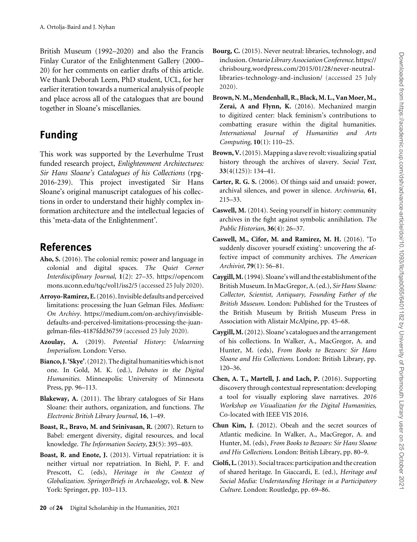<span id="page-19-0"></span>British Museum (1992–2020) and also the Francis Finlay Curator of the Enlightenment Gallery (2000– 20) for her comments on earlier drafts of this article. We thank Deborah Leem, PhD student, UCL, for her earlier iteration towards a numerical analysis of people and place across all of the catalogues that are bound together in Sloane's miscellanies.

# Funding

This work was supported by the Leverhulme Trust funded research project, Enlightenment Architectures: Sir Hans Sloane's Catalogues of his Collections (rpg-2016-239). This project investigated Sir Hans Sloane's original manuscript catalogues of his collections in order to understand their highly complex information architecture and the intellectual legacies of this 'meta-data of the Enlightenment'.

## References

- Aho, S. (2016). The colonial remix: power and language in colonial and digital spaces. The Quiet Corner Interdisciplinary Journal, 1(2): 27–35. [https://opencom](https://opencommons.uconn.edu/tqc/vol1/iss2/5 ) [mons.uconn.edu/tqc/vol1/iss2/5](https://opencommons.uconn.edu/tqc/vol1/iss2/5 ) (accessed 25 July 2020).
- Arroyo-Ramirez, E.(2016). Invisible defaults and perceived limitations: processing the Juan Gelman Files. Medium: On Archivy. [https://medium.com/on-archivy/invisible](https://medium.com/on-archivy/invisible-defaults-and-perceived-limitations-processing-the-juan-gelman-files-4187fdd36759)[defaults-and-perceived-limitations-processing-the-juan](https://medium.com/on-archivy/invisible-defaults-and-perceived-limitations-processing-the-juan-gelman-files-4187fdd36759)[gelman-files-4187fdd36759](https://medium.com/on-archivy/invisible-defaults-and-perceived-limitations-processing-the-juan-gelman-files-4187fdd36759) (accessed 25 July 2020).
- Azoulay, A. (2019). Potential History: Unlearning Imperialism. London: Verso.
- Bianco, J. 'Skye'. (2012). The digital humanities which is not one. In Gold, M. K. (ed.), Debates in the Digital Humanities. Minneapolis: University of Minnesota Press, pp. 96–113.
- Blakeway, A. (2011). The library catalogues of Sir Hans Sloane: their authors, organization, and functions. The Electronic British Library Journal, 16, 1–49.
- Boast, R., Bravo, M. and Srinivasan, R. (2007). Return to Babel: emergent diversity, digital resources, and local knowledge. The Information Society, 23(5): 395–403.
- Boast, R. and Enote, J. (2013). Virtual repatriation: it is neither virtual nor repatriation. In Biehl, P. F. and Prescott, C. (eds), Heritage in the Context of Globalization. SpringerBriefs in Archaeology, vol. 8. New York: Springer, pp. 103–113.
- Bourg, C. (2015). Never neutral: libraries, technology, and inclusion.Ontario Library Association Conference. [https://](https://chrisbourg.wordpress.com/2015/01/28/never-neutral-libraries-technology-and-inclusion/) [chrisbourg.wordpress.com/2015/01/28/never-neutral](https://chrisbourg.wordpress.com/2015/01/28/never-neutral-libraries-technology-and-inclusion/)[libraries-technology-and-inclusion/](https://chrisbourg.wordpress.com/2015/01/28/never-neutral-libraries-technology-and-inclusion/) (accessed 25 July 2020).
- Brown, N. M., Mendenhall, R., Black, M. L., Van Moer, M., Zerai, A and Flynn, K. (2016). Mechanized margin to digitized center: black feminism's contributions to combatting erasure within the digital humanities. International Journal of Humanities and Arts Computing, 10(1): 110–25.
- Brown, V.(2015). Mapping a slave revolt: visualizing spatial history through the archives of slavery. Social Text, 33(4(125)): 134–41.
- Carter, R. G. S. (2006). Of things said and unsaid: power, archival silences, and power in silence. Archivaria, 61, 215–33.
- Caswell, M. (2014). Seeing yourself in history: community archives in the fight against symbolic annihilation. The Public Historian, 36(4): 26–37.
- Caswell, M., Cifor, M. and Ramirez, M. H. (2016). 'To suddenly discover yourself existing': uncovering the affective impact of community archives. The American Archivist, 79(1): 56–81.
- Caygill, M.(1994). Sloane's will and the establishment of the British Museum. In MacGregor, A. (ed.), Sir Hans Sloane: Collector, Scientist, Antiquary, Founding Father of the British Museum. London: Published for the Trustees of the British Museum by British Museum Press in Association with Alistair McAlpine, pp. 45–68.
- Caygill, M.(2012). Sloane's catalogues and the arrangement of his collections. In Walker, A., MacGregor, A. and Hunter, M. (eds), From Books to Bezoars: Sir Hans Sloane and His Collections. London: British Library, pp. 120–36.
- Chen, A. T., Martell, J. and Lach, P. (2016). Supporting discovery through contextual representation: developing a tool for visually exploring slave narratives. 2016 Workshop on Visualization for the Digital Humanities, Co-located with IEEE VIS 2016.
- Chun Kim, J. (2012). Obeah and the secret sources of Atlantic medicine. In Walker, A., MacGregor, A. and Hunter, M. (eds), From Books to Bezoars: Sir Hans Sloane and His Collections. London: British Library, pp. 80–9.
- Ciolfi, L.(2013). Social traces: participation and the creation of shared heritage. In Giaccardi, E. (ed.), Heritage and Social Media: Understanding Heritage in a Participatory Culture. London: Routledge, pp. 69–86.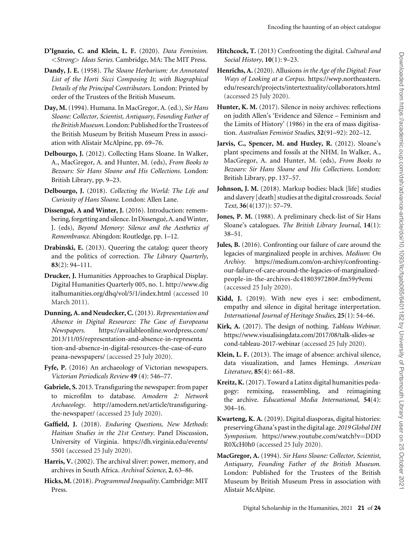- <span id="page-20-0"></span>D'Ignazio, C. and Klein, L. F. (2020). Data Feminism. <Strong> Ideas Series. Cambridge, MA: The MIT Press.
- Dandy, J. E. (1958). The Sloane Herbarium: An Annotated List of the Horti Sicci Composing It; with Biographical Details of the Principal Contributors. London: Printed by order of the Trustees of the British Museum.
- Day, M. (1994). Humana. In MacGregor, A. (ed.), Sir Hans Sloane: Collector, Scientist, Antiquary, Founding Father of the British Museum. London: Published for the Trustees of the British Museum by British Museum Press in association with Alistair McAlpine, pp. 69–76.
- Delbourgo, J. (2012). Collecting Hans Sloane. In Walker, A., MacGregor, A. and Hunter, M. (eds), From Books to Bezoars: Sir Hans Sloane and His Collections. London: British Library, pp. 9–23.
- Delbourgo, J. (2018). Collecting the World: The Life and Curiosity of Hans Sloane. London: Allen Lane.
- Dissengué, A and Winter, J. (2016). Introduction: remembering, forgetting and silence. In Dissengué, A. and Winter, J. (eds), Beyond Memory: Silence and the Aesthetics of Remembrance. Abingdon: Routledge, pp. 1–12.
- Drabinski, E. (2013). Queering the catalog: queer theory and the politics of correction. The Library Quarterly, 83(2): 94–111.
- Drucker, J. Humanities Approaches to Graphical Display. Digital Humanities Quarterly 005, no. 1. [http://www.dig](http://www.digitalhumanities.org/dhq/vol/5/1/index.html) [italhumanities.org/dhq/vol/5/1/index.html](http://www.digitalhumanities.org/dhq/vol/5/1/index.html) (accessed 10 March 2011).
- Dunning, A. and Neudecker, C.(2013). Representation and Absence in Digital Resources: The Case of Europeana Newspapers. [https://availableonline.wordpress.com/](https://availableonline.wordpress.com/2013/11/05/representation-and-absence-in-representation-and-absence-in-digital-resources-the-case-of-europeana-newspapers/) [2013/11/05/representation-and-absence-in-representa](https://availableonline.wordpress.com/2013/11/05/representation-and-absence-in-representation-and-absence-in-digital-resources-the-case-of-europeana-newspapers/) [tion-and-absence-in-digital-resources-the-case-of-euro](https://availableonline.wordpress.com/2013/11/05/representation-and-absence-in-representation-and-absence-in-digital-resources-the-case-of-europeana-newspapers/) [peana-newspapers/](https://availableonline.wordpress.com/2013/11/05/representation-and-absence-in-representation-and-absence-in-digital-resources-the-case-of-europeana-newspapers/) (accessed 25 July 2020).
- Fyfe, P. (2016) An archaeology of Victorian newspapers. Victorian Periodicals Review 49 (4): 546–77.
- Gabriele, S. 2013. Transfiguring the newspaper: from paper to microfilm to database. Amodern 2: Network Archaeology. [http://amodern.net/article/transfiguring](http://amodern.net/article/transfiguring-the-newspaper/)[the-newspaper/](http://amodern.net/article/transfiguring-the-newspaper/) (accessed 25 July 2020).
- Gaffield, J. (2018). Enduring Questions, New Methods: Haitian Studies in the 21st Century. Panel Discussion, University of Virginia. [https://dh.virginia.edu/events/](https://dh.virginia.edu/events/5501) [5501](https://dh.virginia.edu/events/5501) (accessed 25 July 2020).
- Harris, V. (2002). The archival sliver: power, memory, and archives in South Africa. Archival Science, 2, 63–86.
- Hicks, M.(2018). Programmed Inequality. Cambridge: MIT Press.
- Hitchcock, T. (2013) Confronting the digital. Cultural and Social History, 10(1): 9–23.
- Henrichs, A. (2020). Allusions in the Age of the Digital: Four Ways of Looking at a Corpus. [https://wwp.northeastern.](https://wwp.northeastern.edu/research/projects/intertextuality/collaborators.html) [edu/research/projects/intertextuality/collaborators.html](https://wwp.northeastern.edu/research/projects/intertextuality/collaborators.html) (accessed 25 July 2020).
- Hunter, K. M. (2017). Silence in noisy archives: reflections on judith Allen's 'Evidence and Silence – Feminism and the Limits of History' (1986) in the era of mass digitisation. Australian Feminist Studies, 32(91–92): 202–12.
- Jarvis, C., Spencer, M. and Huxley, R. (2012). Sloane's plant specimens and fossils at the NHM. In Walker, A., MacGregor, A. and Hunter, M. (eds), From Books to Bezoars: Sir Hans Sloane and His Collections. London: British Library, pp. 137–57.
- Johnson, J. M. (2018). Markup bodies: black [life] studies and slavery [death] studies at the digital crossroads. Social Text, 36(4(137)): 57–79.
- Jones, P. M. (1988). A preliminary check-list of Sir Hans Sloane's catalogues. The British Library Journal, 14(1): 38–51.
- Jules, B. (2016). Confronting our failure of care around the legacies of marginalized people in archives. Medium: On Archivy. [https://medium.com/on-archivy/confronting](https://medium.com/on-archivy/confronting-our-failure-of-care-around-the-legacies-of-marginalized-people-in-the-archives-dc4180397280#.fm59y9emi)[our-failure-of-care-around-the-legacies-of-marginalized](https://medium.com/on-archivy/confronting-our-failure-of-care-around-the-legacies-of-marginalized-people-in-the-archives-dc4180397280#.fm59y9emi)[people-in-the-archives-dc4180397280#.fm59y9emi](https://medium.com/on-archivy/confronting-our-failure-of-care-around-the-legacies-of-marginalized-people-in-the-archives-dc4180397280#.fm59y9emi) (accessed 25 July 2020).
- Kidd, J. (2019). With new eyes i see: embodiment, empathy and silence in digital heritage interpretation. International Journal of Heritage Studies, 25(1): 54–66.
- Kirk, A. (2017). The design of nothing. Tableau Webinar. [https://www.visualisingdata.com/2017/08/talk-slides-se](https://www.visualisingdata.com/2017/08/talk-slides-second-tableau-2017-webinar) [cond-tableau-2017-webinar](https://www.visualisingdata.com/2017/08/talk-slides-second-tableau-2017-webinar) (accessed 25 July 2020).
- Klein, L. F. (2013). The image of absence: archival silence, data visualization, and James Hemings. American Literature, 85(4): 661–88.
- Kreitz, K.(2017). Toward a Latinx digital humanities pedagogy: remixing, reassembling, and reimagining the archive. Educational Media International, 54(4): 304–16.
- Kwarteng, K. A. (2019). Digital diasporas, digital histories: preserving Ghana's past in the digital age. 2019 Global DH Symposium. [https://www.youtube.com/watch?v](https://www.youtube.com/watch?v=DDDR0XcH0h0)=[DDD](https://www.youtube.com/watch?v=DDDR0XcH0h0) [R0XcH0h0](https://www.youtube.com/watch?v=DDDR0XcH0h0) (accessed 25 July 2020).
- MacGregor, A. (1994). Sir Hans Sloane: Collector, Scientist, Antiquary, Founding Father of the British Museum. London: Published for the Trustees of the British Museum by British Museum Press in association with Alistair McAlpine.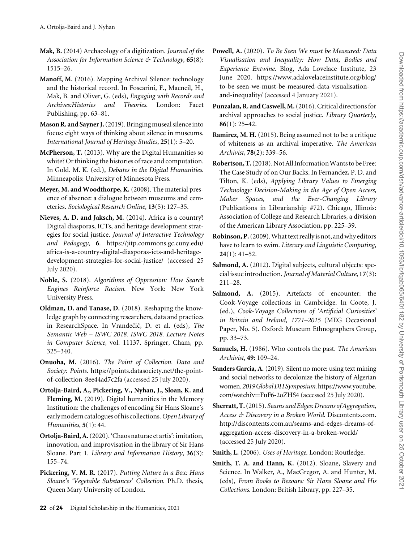- <span id="page-21-0"></span>Mak, B. (2014) Archaeology of a digitization. Journal of the Association for Information Science & Technology, 65(8): 1515–26.
- Manoff, M. (2016). Mapping Archival Silence: technology and the historical record. In Foscarini, F., Macneil, H., Mak, B. and Oliver, G. (eds), Engaging with Records and Archives:Histories and Theories. London: Facet Publishing, pp. 63–81.
- Mason R. and Sayner J. (2019). Bringing museal silence into focus: eight ways of thinking about silence in museums. International Journal of Heritage Studies, 25(1): 5–20.
- McPherson, T. (2013). Why are the Digital Humanities so white? Or thinking the histories of race and computation. In Gold. M. K. (ed.), Debates in the Digital Humanities. Minneapolis: University of Minnesota Press.
- Meyer, M. and Woodthorpe, K. (2008). The material presence of absence: a dialogue between museums and cemeteries. Sociological Research Online, 13(5): 127–35.
- Nieves, A. D. and Jaksch, M. (2014). Africa is a country? Digital diasporas, ICTs, and heritage development strategies for social justice. Journal of Interactive Technology and Pedagogy, 6. [https://jitp.commons.gc.cuny.edu/](https://jitp.commons.gc.cuny.edu/africa-is-a-country-digital-diasporas-icts-and-heritage-development-strategies-for-social-justice/) [africa-is-a-country-digital-diasporas-icts-and-heritage](https://jitp.commons.gc.cuny.edu/africa-is-a-country-digital-diasporas-icts-and-heritage-development-strategies-for-social-justice/)[development-strategies-for-social-justice/](https://jitp.commons.gc.cuny.edu/africa-is-a-country-digital-diasporas-icts-and-heritage-development-strategies-for-social-justice/) (accessed 25 July 2020).
- Noble, S. (2018). Algorithms of Oppression: How Search Engines Reinforce Racism. New York: New York University Press.
- Oldman, D. and Tanase, D. (2018). Reshaping the knowledge graph by connecting researchers, data and practices in ResearchSpace. In Vrandečić, D. et al. (eds), The Semantic Web – ISWC 2018. ISWC 2018. Lecture Notes in Computer Science, vol. 11137. Springer, Cham, pp. 325–340.
- Onuoha, M. (2016). The Point of Collection. Data and Society: Points. [https://points.datasociety.net/the-point](https://points.datasociety.net/the-point-of-collection-8ee44ad7c2fa)[of-collection-8ee44ad7c2fa](https://points.datasociety.net/the-point-of-collection-8ee44ad7c2fa) (accessed 25 July 2020).
- Ortolja-Baird, A., Pickering, V., Nyhan, J., Sloan, K. and Fleming, M. (2019). Digital humanities in the Memory Institution: the challenges of encoding Sir Hans Sloane's early modern catalogues of his collections. Open Library of Humanities, 5(1): 44.
- Ortolja-Baird, A.(2020). 'Chaos naturae et artis': imitation, innovation, and improvisation in the library of Sir Hans Sloane. Part 1. Library and Information History, 36(3): 155–74.
- Pickering, V. M. R. (2017). Putting Nature in a Box: Hans Sloane's 'Vegetable Substances' Collection. Ph.D. thesis, Queen Mary University of London.
- Powell, A. (2020). To Be Seen We must be Measured: Data Visualisation and Inequality: How Data, Bodies and Experience Entwine. Blog, Ada Lovelace Institute, 23 June 2020. [https://www.adalovelaceinstitute.org/blog/](https://www.adalovelaceinstitute.org/blog/to-be-seen-we-must-be-measured-data-visualisation-and-inequality/) [to-be-seen-we-must-be-measured-data-visualisation](https://www.adalovelaceinstitute.org/blog/to-be-seen-we-must-be-measured-data-visualisation-and-inequality/)[and-inequality/](https://www.adalovelaceinstitute.org/blog/to-be-seen-we-must-be-measured-data-visualisation-and-inequality/) (accessed 4 January 2021).
- Punzalan, R. and Caswell, M.(2016). Critical directions for archival approaches to social justice. Library Quarterly,  $86(1): 25-42.$
- Ramirez, M. H. (2015). Being assumed not to be: a critique of whiteness as an archival imperative. The American Archivist, 78(2): 339–56.
- Robertson, T.(2018). Not All Information Wants to be Free: The Case Study of on Our Backs. In Fernandez, P. D. and Tilton, K. (eds), Applying Library Values to Emerging Technology: Decision-Making in the Age of Open Access, Maker Spaces, and the Ever-Changing Library (Publications in Librarianship #72). Chicago, Illinois: Association of College and Research Libraries, a division of the American Library Association, pp. 225–39.
- Robinson, P.(2009). What text really is not, and why editors have to learn to swim. Literary and Linguistic Computing,  $24(1): 41-52.$
- Salmond, A. (2012). Digital subjects, cultural objects: special issue introduction. Journal of Material Culture, 17(3): 211–28.
- Salmond, A. (2015). Artefacts of encounter: the Cook-Voyage collections in Cambridge. In Coote, J. (ed.), Cook-Voyage Collections of 'Artificial Curiosities' in Britain and Ireland, 1771–2015 (MEG Occasional Paper, No. 5). Oxford: Museum Ethnographers Group, pp. 33–73.
- Samuels, H. (1986). Who controls the past. The American Archivist, 49: 109–24.
- Sanders Garcia, A. (2019). Silent no more: using text mining and social networks to decolonize the history of Algerian women.2019Global DHSymposium.[https://www.youtube.](https://www.youtube.com/watch?v=FuF6-2oZHS4) [com/watch?v](https://www.youtube.com/watch?v=FuF6-2oZHS4)=[FuF6-2oZHS4](https://www.youtube.com/watch?v=FuF6-2oZHS4) (accessed 25 July 2020).
- Sherratt, T. (2015). Seams and Edges: Dreams of Aggregation, Access & Discovery in a Broken World. Discontents.com. [http://discontents.com.au/seams-and-edges-dreams-of](http://discontents.com.au/seams-and-edges-dreams-of-aggregation-access-discovery-in-a-broken-world/)[aggregation-access-discovery-in-a-broken-world/](http://discontents.com.au/seams-and-edges-dreams-of-aggregation-access-discovery-in-a-broken-world/) (accessed 25 July 2020).
- Smith, L. (2006). Uses of Heritage. London: Routledge.
- Smith, T. A. and Hann, K. (2012). Sloane, Slavery and Science. In Walker, A., MacGregor, A. and Hunter, M. (eds), From Books to Bezoars: Sir Hans Sloane and His Collections. London: British Library, pp. 227–35.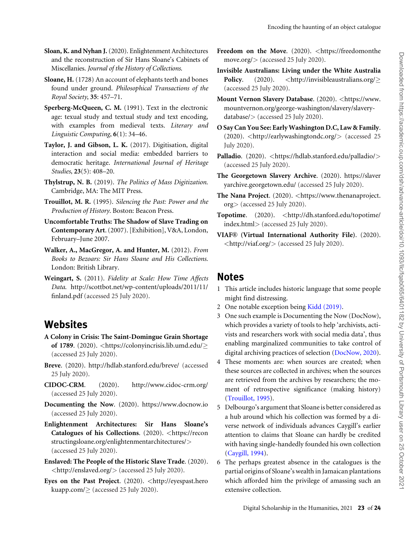- <span id="page-22-0"></span>Sloan, K. and Nyhan J.(2020). Enlightenment Architectures and the reconstruction of Sir Hans Sloane's Cabinets of Miscellanies. Journal of the History of Collections.
- Sloane, H. (1728) An account of elephants teeth and bones found under ground. Philosophical Transactions of the Royal Society, 35: 457–71.
- Sperberg-McQueen, C. M. (1991). Text in the electronic age: texual study and textual study and text encoding, with examples from medieval texts. Literary and Linguistic Computing, 6(1): 34–46.
- Taylor, J. and Gibson, L. K. (2017). Digitisation, digital interaction and social media: embedded barriers to democratic heritage. International Journal of Heritage Studies, 23(5): 408–20.
- Thylstrup, N. B. (2019). The Politics of Mass Digitization. Cambridge, MA: The MIT Press.
- Trouillot, M. R. (1995). Silencing the Past: Power and the Production of History. Boston: Beacon Press.
- Uncomfortable Truths: The Shadow of Slave Trading on Contemporary Art. (2007). [Exhibition], V&A, London, February–June 2007.
- Walker, A., MacGregor, A. and Hunter, M. (2012). From Books to Bezoars: Sir Hans Sloane and His Collections. London: British Library.
- Weingart, S. (2011). Fidelity at Scale: How Time Affects Data. [http://scottbot.net/wp-content/uploads/2011/11/](http://scottbot.net/wp-content/uploads/2011/11/finland.pdf) [finland.pdf](http://scottbot.net/wp-content/uploads/2011/11/finland.pdf) (accessed 25 July 2020).

#### **Websites**

- A Colony in Crisis: The Saint-Domingue Grain Shortage of 1789. (2020). <<https://colonyincrisis.lib.umd.edu/> $\geq$ (accessed 25 July 2020).
- Breve. (2020).<http://hdlab.stanford.edu/breve/> (accessed 25 July 2020).
- CIDOC-CRM. (2020).<http://www.cidoc-crm.org/> (accessed 25 July 2020).
- Documenting the Now. (2020).<https://www.docnow.io> (accessed 25 July 2020).
- Enlightenment Architectures: Sir Hans Sloane's Catalogues of his Collections. (2020). <[https://recon](https://reconstructingsloane.org/enlightenmentarchitectures/) [structingsloane.org/enlightenmentarchitectures/](https://reconstructingsloane.org/enlightenmentarchitectures/)> (accessed 25 July 2020).
- Enslaved: The People of the Historic Slave Trade. (2020). <<http://enslaved.org/>> (accessed 25 July 2020).
- Eyes on the Past Project. (2020). <[http://eyespast.hero](http://eyespast.herokuapp.com/) [kuapp.com/](http://eyespast.herokuapp.com/) $\geq$  (accessed 25 July 2020).
- Freedom on the Move. (2020). <[https://freedomonthe](https://freedomonthemove.org/) [move.org/](https://freedomonthemove.org/)> (accessed 25 July 2020).
- Invisible Australians: Living under the White Australia **Policy.** (2020).  $\langle \text{http://invisibleaustralians.org/}\rangle$  $\langle \text{http://invisibleaustralians.org/}\rangle$  $\langle \text{http://invisibleaustralians.org/}\rangle$ (accessed 25 July 2020).
- Mount Vernon Slavery Database. (2020). <[https://www.](https://www.mountvernon.org/george-washington/slavery/slavery-database/) [mountvernon.org/george-washington/slavery/slavery](https://www.mountvernon.org/george-washington/slavery/slavery-database/)[database/](https://www.mountvernon.org/george-washington/slavery/slavery-database/)> (accessed 25 July 2020).
- O Say Can You See: Early Washington D.C, Law & Family. (2020). <<http://earlywashingtondc.org/>> (accessed 25 July 2020).
- Palladio. (2020). <<https://hdlab.stanford.edu/palladio/>> (accessed 25 July 2020).
- The Georgetown Slavery Archive. (2020). [https://slaver](https://slaveryarchive.georgetown.edu/) [yarchive.georgetown.edu/](https://slaveryarchive.georgetown.edu/) (accessed 25 July 2020).
- The Nana Project. (2020). <[https://www.thenanaproject.](https://www.thenanaproject.org) [org](https://www.thenanaproject.org)> (accessed 25 July 2020).
- Topotime. (2020). <[http://dh.stanford.edu/topotime/](http://dh.stanford.edu/topotime/index.html) [index.html](http://dh.stanford.edu/topotime/index.html)> (accessed 25 July 2020).
- VIAF® (Virtual International Authority File). (2020).  $\langle$ <http://viaf.org/> $\rangle$  (accessed 25 July 2020).

#### Notes

- 1 This article includes historic language that some people might find distressing.
- 2 One notable exception being [Kidd \(2019\)](#page-20-0).
- 3 One such example is Documenting the Now (DocNow), which provides a variety of tools to help 'archivists, activists and researchers work with social media data', thus enabling marginalized communities to take control of digital archiving practices of selection (DocNow, 2020).
- 4 These moments are: when sources are created; when these sources are collected in archives; when the sources are retrieved from the archives by researchers; the moment of retrospective significance (making history) (Trouillot, 1995).
- 5 Delbourgo's argument that Sloane is better considered as a hub around which his collection was formed by a diverse network of individuals advances Caygill's earlier attention to claims that Sloane can hardly be credited with having single-handedly founded his own collection ([Caygill, 1994](#page-19-0)).
- 6 The perhaps greatest absence in the catalogues is the partial origins of Sloane's wealth in Jamaican plantations which afforded him the privilege of amassing such an extensive collection.